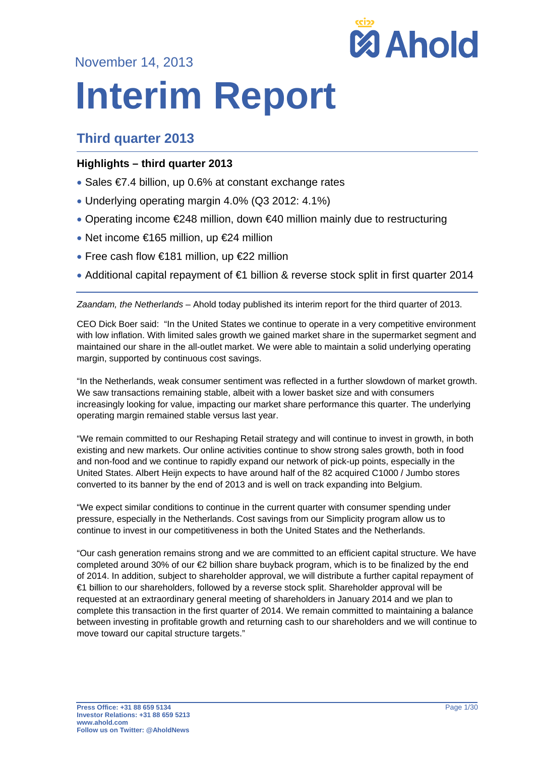November 14, 2013



# **Interim Report**

# **Third quarter 2013**

## **Highlights – third quarter 2013**

- Sales €7.4 billion, up 0.6% at constant exchange rates
- Underlying operating margin 4.0% (Q3 2012: 4.1%)
- Operating income €248 million, down €40 million mainly due to restructuring
- Net income €165 million, up €24 million
- Free cash flow €181 million, up €22 million
- Additional capital repayment of €1 billion & reverse stock split in first quarter 2014

*Zaandam, the Netherlands* – Ahold today published its interim report for the third quarter of 2013.

CEO Dick Boer said: "In the United States we continue to operate in a very competitive environment with low inflation. With limited sales growth we gained market share in the supermarket segment and maintained our share in the all-outlet market. We were able to maintain a solid underlying operating margin, supported by continuous cost savings.

"In the Netherlands, weak consumer sentiment was reflected in a further slowdown of market growth. We saw transactions remaining stable, albeit with a lower basket size and with consumers increasingly looking for value, impacting our market share performance this quarter. The underlying operating margin remained stable versus last year.

"We remain committed to our Reshaping Retail strategy and will continue to invest in growth, in both existing and new markets. Our online activities continue to show strong sales growth, both in food and non-food and we continue to rapidly expand our network of pick-up points, especially in the United States. Albert Heijn expects to have around half of the 82 acquired C1000 / Jumbo stores converted to its banner by the end of 2013 and is well on track expanding into Belgium.

"We expect similar conditions to continue in the current quarter with consumer spending under pressure, especially in the Netherlands. Cost savings from our Simplicity program allow us to continue to invest in our competitiveness in both the United States and the Netherlands.

"Our cash generation remains strong and we are committed to an efficient capital structure. We have completed around 30% of our €2 billion share buyback program, which is to be finalized by the end of 2014. In addition, subject to shareholder approval, we will distribute a further capital repayment of €1 billion to our shareholders, followed by a reverse stock split. Shareholder approval will be requested at an extraordinary general meeting of shareholders in January 2014 and we plan to complete this transaction in the first quarter of 2014. We remain committed to maintaining a balance between investing in profitable growth and returning cash to our shareholders and we will continue to move toward our capital structure targets."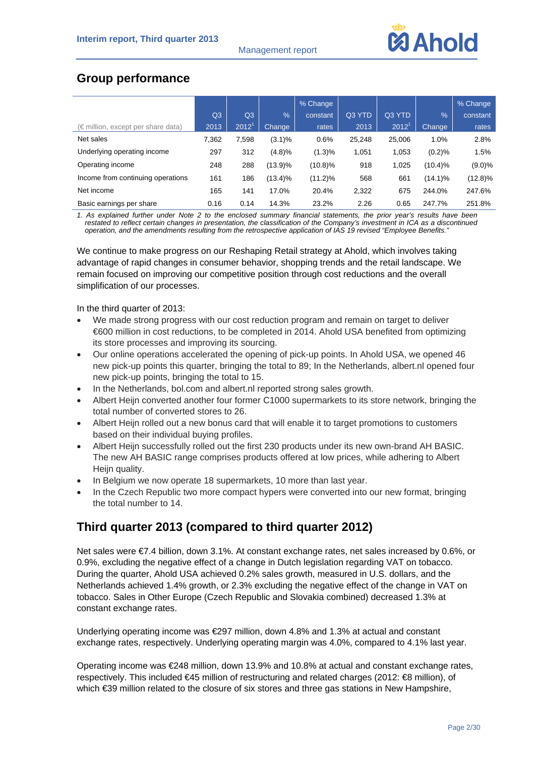

# **Group performance**

|                                             |       |                   |               | % Change   |        |                   |               | % Change   |
|---------------------------------------------|-------|-------------------|---------------|------------|--------|-------------------|---------------|------------|
|                                             | Q3    | Q <sub>3</sub>    | $\frac{0}{0}$ | constant   | Q3 YTD | Q3 YTD            | $\frac{9}{6}$ | constant   |
| $(\epsilon$ million, except per share data) | 2013  | 2012 <sup>1</sup> | Change        | rates      | 2013   | 2012 <sup>1</sup> | Change        | rates      |
| Net sales                                   | 7.362 | 7,598             | $(3.1)\%$     | 0.6%       | 25,248 | 25,006            | 1.0%          | 2.8%       |
| Underlying operating income                 | 297   | 312               | (4.8)%        | (1.3)%     | 1,051  | 1,053             | (0.2)%        | 1.5%       |
| Operating income                            | 248   | 288               | (13.9)%       | $(10.8)\%$ | 918    | 1,025             | $(10.4)\%$    | $(9.0)\%$  |
| Income from continuing operations           | 161   | 186               | (13.4)%       | $(11.2)\%$ | 568    | 661               | $(14.1)\%$    | $(12.8)\%$ |
| Net income                                  | 165   | 141               | 17.0%         | 20.4%      | 2,322  | 675               | 244.0%        | 247.6%     |
| Basic earnings per share                    | 0.16  | 0.14              | 14.3%         | 23.2%      | 2.26   | 0.65              | 247.7%        | 251.8%     |

*1. As explained further under Note 2 to the enclosed summary financial statements, the prior year's results have been restated to reflect certain changes in presentation, the classification of the Company's investment in ICA as a discontinued operation, and the amendments resulting from the retrospective application of IAS 19 revised "Employee Benefits."* 

We continue to make progress on our Reshaping Retail strategy at Ahold, which involves taking advantage of rapid changes in consumer behavior, shopping trends and the retail landscape. We remain focused on improving our competitive position through cost reductions and the overall simplification of our processes.

In the third quarter of 2013:

- We made strong progress with our cost reduction program and remain on target to deliver €600 million in cost reductions, to be completed in 2014. Ahold USA benefited from optimizing its store processes and improving its sourcing.
- Our online operations accelerated the opening of pick-up points. In Ahold USA, we opened 46 new pick-up points this quarter, bringing the total to 89; In the Netherlands, albert.nl opened four new pick-up points, bringing the total to 15.
- In the Netherlands, bol.com and albert.nl reported strong sales growth.
- Albert Heijn converted another four former C1000 supermarkets to its store network, bringing the total number of converted stores to 26.
- Albert Heijn rolled out a new bonus card that will enable it to target promotions to customers based on their individual buying profiles.
- Albert Heijn successfully rolled out the first 230 products under its new own-brand AH BASIC. The new AH BASIC range comprises products offered at low prices, while adhering to Albert Heijn quality.
- In Belgium we now operate 18 supermarkets, 10 more than last year.
- In the Czech Republic two more compact hypers were converted into our new format, bringing the total number to 14.

# **Third quarter 2013 (compared to third quarter 2012)**

Net sales were €7.4 billion, down 3.1%. At constant exchange rates, net sales increased by 0.6%, or 0.9%, excluding the negative effect of a change in Dutch legislation regarding VAT on tobacco. During the quarter, Ahold USA achieved 0.2% sales growth, measured in U.S. dollars, and the Netherlands achieved 1.4% growth, or 2.3% excluding the negative effect of the change in VAT on tobacco. Sales in Other Europe (Czech Republic and Slovakia combined) decreased 1.3% at constant exchange rates.

Underlying operating income was €297 million, down 4.8% and 1.3% at actual and constant exchange rates, respectively. Underlying operating margin was 4.0%, compared to 4.1% last year.

Operating income was €248 million, down 13.9% and 10.8% at actual and constant exchange rates, respectively. This included €45 million of restructuring and related charges (2012: €8 million), of which €39 million related to the closure of six stores and three gas stations in New Hampshire,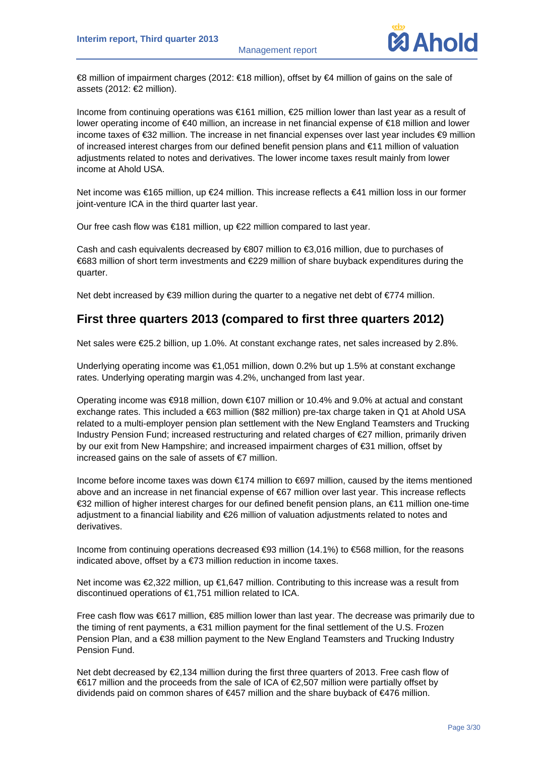

€8 million of impairment charges (2012: €18 million), offset by €4 million of gains on the sale of assets (2012: €2 million).

Income from continuing operations was €161 million, €25 million lower than last year as a result of lower operating income of €40 million, an increase in net financial expense of €18 million and lower income taxes of €32 million. The increase in net financial expenses over last year includes €9 million of increased interest charges from our defined benefit pension plans and €11 million of valuation adjustments related to notes and derivatives. The lower income taxes result mainly from lower income at Ahold USA.

Net income was €165 million, up €24 million. This increase reflects a €41 million loss in our former joint-venture ICA in the third quarter last year.

Our free cash flow was €181 million, up €22 million compared to last year.

Cash and cash equivalents decreased by €807 million to €3,016 million, due to purchases of €683 million of short term investments and €229 million of share buyback expenditures during the quarter.

Net debt increased by  $\epsilon$ 39 million during the quarter to a negative net debt of  $\epsilon$ 774 million.

## **First three quarters 2013 (compared to first three quarters 2012)**

Net sales were €25.2 billion, up 1.0%. At constant exchange rates, net sales increased by 2.8%.

Underlying operating income was €1,051 million, down 0.2% but up 1.5% at constant exchange rates. Underlying operating margin was 4.2%, unchanged from last year.

Operating income was €918 million, down €107 million or 10.4% and 9.0% at actual and constant exchange rates. This included a €63 million (\$82 million) pre-tax charge taken in Q1 at Ahold USA related to a multi-employer pension plan settlement with the New England Teamsters and Trucking Industry Pension Fund; increased restructuring and related charges of €27 million, primarily driven by our exit from New Hampshire; and increased impairment charges of €31 million, offset by increased gains on the sale of assets of  $\epsilon$ 7 million.

Income before income taxes was down €174 million to €697 million, caused by the items mentioned above and an increase in net financial expense of €67 million over last year. This increase reflects €32 million of higher interest charges for our defined benefit pension plans, an €11 million one-time adjustment to a financial liability and €26 million of valuation adjustments related to notes and derivatives.

Income from continuing operations decreased €93 million (14.1%) to €568 million, for the reasons indicated above, offset by a €73 million reduction in income taxes.

Net income was €2,322 million, up €1,647 million. Contributing to this increase was a result from discontinued operations of €1,751 million related to ICA.

Free cash flow was €617 million, €85 million lower than last year. The decrease was primarily due to the timing of rent payments, a €31 million payment for the final settlement of the U.S. Frozen Pension Plan, and a €38 million payment to the New England Teamsters and Trucking Industry Pension Fund.

Net debt decreased by €2,134 million during the first three quarters of 2013. Free cash flow of €617 million and the proceeds from the sale of ICA of €2,507 million were partially offset by dividends paid on common shares of €457 million and the share buyback of €476 million.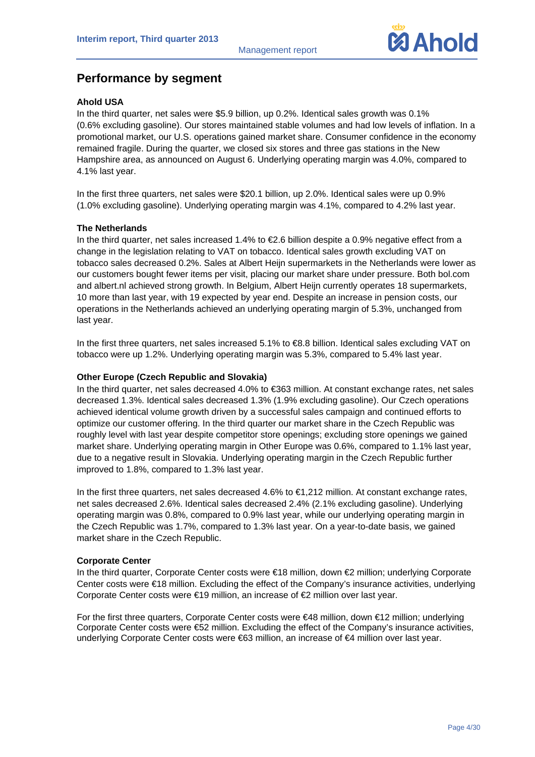

## **Performance by segment**

#### **Ahold USA**

In the third quarter, net sales were \$5.9 billion, up 0.2%. Identical sales growth was 0.1% (0.6% excluding gasoline). Our stores maintained stable volumes and had low levels of inflation. In a promotional market, our U.S. operations gained market share. Consumer confidence in the economy remained fragile. During the quarter, we closed six stores and three gas stations in the New Hampshire area, as announced on August 6. Underlying operating margin was 4.0%, compared to 4.1% last year.

In the first three quarters, net sales were \$20.1 billion, up 2.0%. Identical sales were up 0.9% (1.0% excluding gasoline). Underlying operating margin was 4.1%, compared to 4.2% last year.

#### **The Netherlands**

In the third quarter, net sales increased 1.4% to €2.6 billion despite a 0.9% negative effect from a change in the legislation relating to VAT on tobacco. Identical sales growth excluding VAT on tobacco sales decreased 0.2%. Sales at Albert Heijn supermarkets in the Netherlands were lower as our customers bought fewer items per visit, placing our market share under pressure. Both bol.com and albert.nl achieved strong growth. In Belgium, Albert Heijn currently operates 18 supermarkets, 10 more than last year, with 19 expected by year end. Despite an increase in pension costs, our operations in the Netherlands achieved an underlying operating margin of 5.3%, unchanged from last year.

In the first three quarters, net sales increased 5.1% to €8.8 billion. Identical sales excluding VAT on tobacco were up 1.2%. Underlying operating margin was 5.3%, compared to 5.4% last year.

#### **Other Europe (Czech Republic and Slovakia)**

In the third quarter, net sales decreased 4.0% to €363 million. At constant exchange rates, net sales decreased 1.3%. Identical sales decreased 1.3% (1.9% excluding gasoline). Our Czech operations achieved identical volume growth driven by a successful sales campaign and continued efforts to optimize our customer offering. In the third quarter our market share in the Czech Republic was roughly level with last year despite competitor store openings; excluding store openings we gained market share. Underlying operating margin in Other Europe was 0.6%, compared to 1.1% last year, due to a negative result in Slovakia. Underlying operating margin in the Czech Republic further improved to 1.8%, compared to 1.3% last year.

In the first three quarters, net sales decreased 4.6% to €1,212 million. At constant exchange rates, net sales decreased 2.6%. Identical sales decreased 2.4% (2.1% excluding gasoline). Underlying operating margin was 0.8%, compared to 0.9% last year, while our underlying operating margin in the Czech Republic was 1.7%, compared to 1.3% last year. On a year-to-date basis, we gained market share in the Czech Republic.

#### **Corporate Center**

In the third quarter, Corporate Center costs were €18 million, down €2 million; underlying Corporate Center costs were €18 million. Excluding the effect of the Company's insurance activities, underlying Corporate Center costs were €19 million, an increase of €2 million over last year.

For the first three quarters, Corporate Center costs were €48 million, down €12 million; underlying Corporate Center costs were €52 million. Excluding the effect of the Company's insurance activities, underlying Corporate Center costs were €63 million, an increase of €4 million over last year.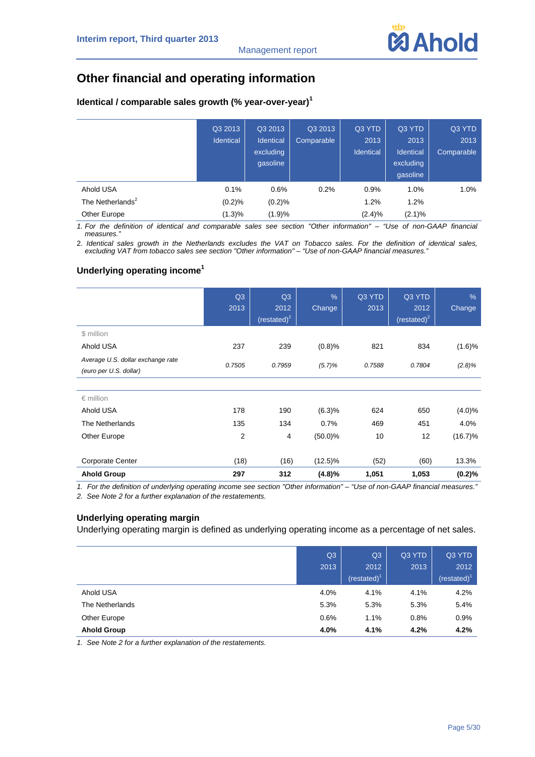# **Other financial and operating information**

| Identical / comparable sales growth (% year-over-year) <sup>1</sup> |  |  |  |  |
|---------------------------------------------------------------------|--|--|--|--|
|---------------------------------------------------------------------|--|--|--|--|

|                              | Q3 2013<br><b>Identical</b> | Q3 2013<br>Identical<br>excluding<br>qasoline | Q3 2013<br>Comparable | Q3 YTD<br>2013<br><b>Identical</b> | Q3 YTD<br>2013<br>Identical<br>excluding<br>gasoline | Q3 YTD<br>2013<br>Comparable |
|------------------------------|-----------------------------|-----------------------------------------------|-----------------------|------------------------------------|------------------------------------------------------|------------------------------|
| Ahold USA                    | 0.1%                        | 0.6%                                          | 0.2%                  | 0.9%                               | 1.0%                                                 | 1.0%                         |
| The Netherlands <sup>2</sup> | (0.2)%                      | (0.2)%                                        |                       | 1.2%                               | 1.2%                                                 |                              |
| Other Europe                 | (1.3)%                      | (1.9)%                                        |                       | (2.4)%                             | (2.1)%                                               |                              |

*1. For the definition of identical and comparable sales see section "Other information" – "Use of non-GAAP financial*   $measures.$ 

2. *Identical sales growth in the Netherlands excludes the VAT on Tobacco sales. For the definition of identical sales, excluding VAT from tobacco sales see section "Other information" – "Use of non-GAAP financial measures."* 

#### **Underlying operating income<sup>1</sup>**

|                                                             | Q3<br>2013     | Q3<br>2012<br>$(restated)^2$ | $\frac{9}{6}$<br>Change | Q3 YTD<br>2013 | Q3 YTD<br>2012<br>(restated) $2$ | $\frac{9}{6}$<br>Change |
|-------------------------------------------------------------|----------------|------------------------------|-------------------------|----------------|----------------------------------|-------------------------|
| \$ million                                                  |                |                              |                         |                |                                  |                         |
| Ahold USA                                                   | 237            | 239                          | (0.8)%                  | 821            | 834                              | (1.6)%                  |
| Average U.S. dollar exchange rate<br>(euro per U.S. dollar) | 0.7505         | 0.7959                       | (5.7)%                  | 0.7588         | 0.7804                           | $(2.8)\%$               |
|                                                             |                |                              |                         |                |                                  |                         |
| $\epsilon$ million                                          |                |                              |                         |                |                                  |                         |
| Ahold USA                                                   | 178            | 190                          | (6.3)%                  | 624            | 650                              | $(4.0)\%$               |
| The Netherlands                                             | 135            | 134                          | 0.7%                    | 469            | 451                              | 4.0%                    |
| Other Europe                                                | $\overline{2}$ | $\overline{4}$               | $(50.0)\%$              | 10             | 12                               | $(16.7)\%$              |
| <b>Corporate Center</b>                                     | (18)           | (16)                         | $(12.5)\%$              | (52)           | (60)                             | 13.3%                   |
| <b>Ahold Group</b>                                          | 297            | 312                          | (4.8)%                  | 1,051          | 1,053                            | (0.2)%                  |

*1. For the definition of underlying operating income see section "Other information" – "Use of non-GAAP financial measures."* 

*2. See Note 2 for a further explanation of the restatements.* 

#### **Underlying operating margin**

Underlying operating margin is defined as underlying operating income as a percentage of net sales.

|                    | Q <sub>3</sub> | Q3           | Q3 YTD | Q3 YTD       |
|--------------------|----------------|--------------|--------|--------------|
|                    | 2013           | 2012         | 2013   | 2012         |
|                    |                | $(rested)^T$ |        | $(rested)^T$ |
| Ahold USA          | 4.0%           | 4.1%         | 4.1%   | 4.2%         |
| The Netherlands    | 5.3%           | 5.3%         | 5.3%   | 5.4%         |
| Other Europe       | 0.6%           | 1.1%         | 0.8%   | 0.9%         |
| <b>Ahold Group</b> | 4.0%           | 4.1%         | 4.2%   | 4.2%         |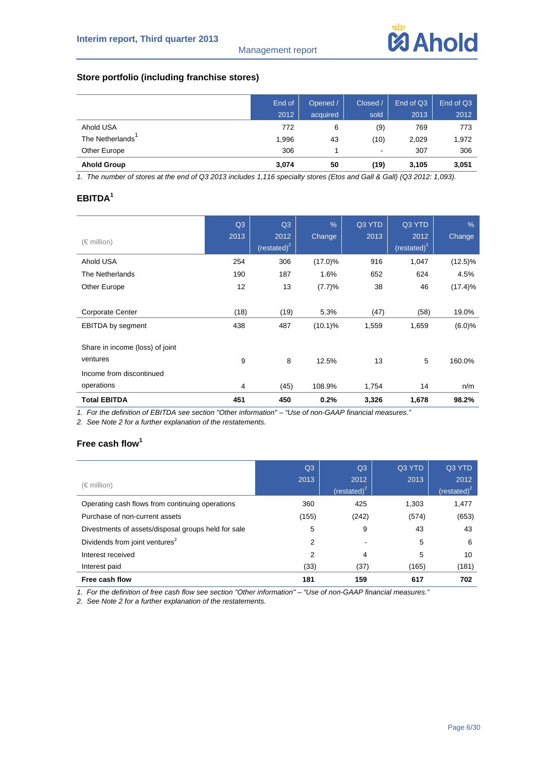

#### **Store portfolio (including franchise stores)**

|                    | End of | Opened / | Closed /       | End of Q3 | End of Q3 |
|--------------------|--------|----------|----------------|-----------|-----------|
|                    | 2012   | acquired | sold           | 2013      | 2012      |
| Ahold USA          | 772    | 6        | (9)            | 769       | 773       |
| The Netherlands    | 1,996  | 43       | (10)           | 2,029     | 1,972     |
| Other Europe       | 306    | 4        | $\blacksquare$ | 307       | 306       |
| <b>Ahold Group</b> | 3,074  | 50       | (19)           | 3,105     | 3,051     |

*1. The number of stores at the end of Q3 2013 includes 1,116 specialty stores (Etos and Gall & Gall) (Q3 2012: 1,093).* 

#### **EBITDA<sup>1</sup>**

| $(\in$ million)                             | Q3<br>2013 | Q3<br>2012<br>(restated) $2$ | $\frac{0}{6}$<br>Change | Q3 YTD<br>2013 | Q3 YTD<br>2012<br>(restated) $2$ | $\frac{9}{6}$<br>Change |
|---------------------------------------------|------------|------------------------------|-------------------------|----------------|----------------------------------|-------------------------|
| Ahold USA                                   | 254        | 306                          | $(17.0)\%$              | 916            | 1,047                            | $(12.5)\%$              |
| The Netherlands                             | 190        | 187                          | 1.6%                    | 652            | 624                              | 4.5%                    |
| Other Europe                                | 12         | 13                           | (7.7)%                  | 38             | 46                               | (17.4)%                 |
|                                             |            |                              |                         |                |                                  |                         |
| <b>Corporate Center</b>                     | (18)       | (19)                         | 5.3%                    | (47)           | (58)                             | 19.0%                   |
| <b>EBITDA</b> by segment                    | 438        | 487                          | $(10.1)\%$              | 1,559          | 1,659                            | (6.0)%                  |
| Share in income (loss) of joint<br>ventures | 9          | 8                            | 12.5%                   | 13             | 5                                | 160.0%                  |
| Income from discontinued                    |            |                              |                         |                |                                  |                         |
| operations                                  | 4          | (45)                         | 108.9%                  | 1,754          | 14                               | n/m                     |
| <b>Total EBITDA</b>                         | 451        | 450                          | 0.2%                    | 3,326          | 1,678                            | 98.2%                   |

*1. For the definition of EBITDA see section "Other information" – "Use of non-GAAP financial measures."* 

*2. See Note 2 for a further explanation of the restatements.* 

#### **Free cash flow<sup>1</sup>**

|                                                     | Q3    | Q <sub>3</sub>         | Q3 YTD | Q3 YTD                          |
|-----------------------------------------------------|-------|------------------------|--------|---------------------------------|
| $(\in$ million)                                     | 2013  | 2012<br>(restated) $2$ | 2013   | 2012<br>(restated) <sup>2</sup> |
| Operating cash flows from continuing operations     | 360   | 425                    | 1,303  | 1,477                           |
| Purchase of non-current assets                      | (155) | (242)                  | (574)  | (653)                           |
| Divestments of assets/disposal groups held for sale | 5     | 9                      | 43     | 43                              |
| Dividends from joint ventures <sup>2</sup>          | 2     |                        | 5      | 6                               |
| Interest received                                   | 2     | 4                      | 5      | 10                              |
| Interest paid                                       | (33)  | (37)                   | (165)  | (181)                           |
| Free cash flow                                      | 181   | 159                    | 617    | 702                             |

*1. For the definition of free cash flow see section "Other information" – "Use of non-GAAP financial measures."*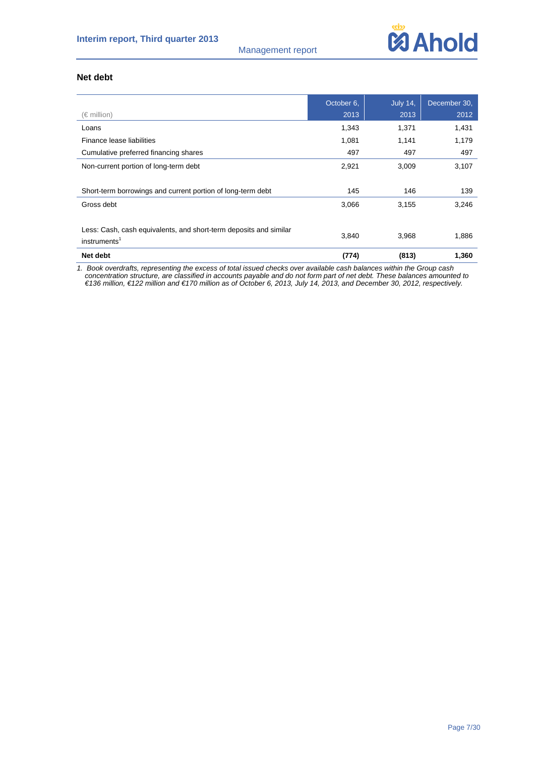#### Management report



#### **Net debt**

|                                                                   | October 6, | <b>July 14,</b> | December 30, |
|-------------------------------------------------------------------|------------|-----------------|--------------|
| (€ million)                                                       | 2013       | 2013            | 2012         |
| Loans                                                             | 1,343      | 1,371           | 1,431        |
| Finance lease liabilities                                         | 1,081      | 1,141           | 1,179        |
| Cumulative preferred financing shares                             | 497        | 497             | 497          |
| Non-current portion of long-term debt                             | 2,921      | 3,009           | 3,107        |
|                                                                   |            |                 |              |
| Short-term borrowings and current portion of long-term debt       | 145        | 146             | 139          |
| Gross debt                                                        | 3,066      | 3,155           | 3,246        |
|                                                                   |            |                 |              |
| Less: Cash, cash equivalents, and short-term deposits and similar |            |                 |              |
| instruments <sup>1</sup>                                          | 3,840      | 3,968           | 1,886        |
| Net debt                                                          | (774)      | (813)           | 1,360        |

*1. Book overdrafts, representing the excess of total issued checks over available cash balances within the Group cash concentration structure, are classified in accounts payable and do not form part of net debt. These balances amounted to €136 million, €122 million and €170 million as of October 6, 2013, July 14, 2013, and December 30, 2012, respectively.*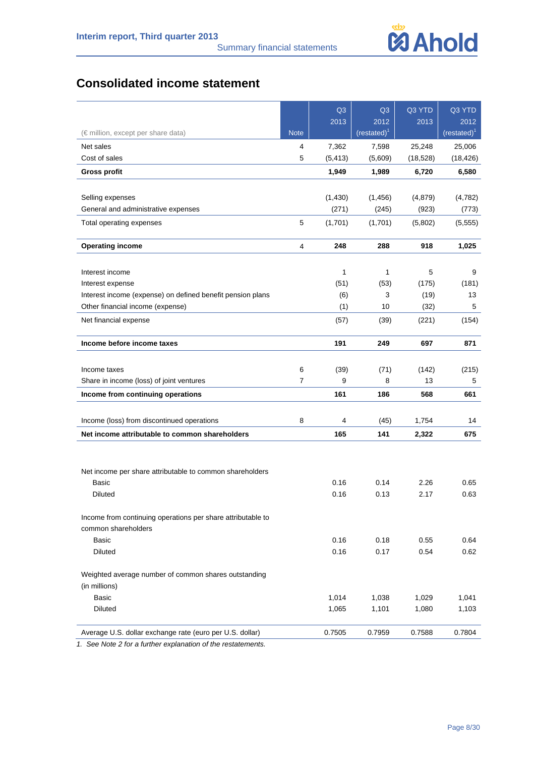# **Consolidated income statement**

|                                                             |             | Q <sub>3</sub> | Q <sub>3</sub> | Q3 YTD    | Q3 YTD         |
|-------------------------------------------------------------|-------------|----------------|----------------|-----------|----------------|
|                                                             |             | 2013           | 2012           | 2013      | 2012           |
| (€ million, except per share data)                          | <b>Note</b> |                | $(restated)^1$ |           | $(restated)^1$ |
| Net sales                                                   | 4           | 7,362          | 7,598          | 25,248    | 25,006         |
| Cost of sales                                               | 5           | (5, 413)       | (5,609)        | (18, 528) | (18, 426)      |
| <b>Gross profit</b>                                         |             | 1,949          | 1,989          | 6,720     | 6,580          |
|                                                             |             |                |                |           |                |
| Selling expenses                                            |             | (1,430)        | (1, 456)       | (4, 879)  | (4,782)        |
| General and administrative expenses                         |             | (271)          | (245)          | (923)     | (773)          |
| Total operating expenses                                    | 5           | (1,701)        | (1,701)        | (5,802)   | (5, 555)       |
| <b>Operating income</b>                                     | 4           | 248            | 288            | 918       | 1,025          |
|                                                             |             |                |                |           |                |
| Interest income                                             |             | 1              | 1              | 5         | 9              |
| Interest expense                                            |             | (51)           | (53)           | (175)     | (181)          |
| Interest income (expense) on defined benefit pension plans  |             | (6)            | 3              | (19)      | 13             |
| Other financial income (expense)                            |             | (1)            | 10             | (32)      | 5              |
| Net financial expense                                       |             | (57)           | (39)           | (221)     | (154)          |
| Income before income taxes                                  |             | 191            | 249            | 697       | 871            |
|                                                             |             |                |                |           |                |
| Income taxes                                                | 6           | (39)           | (71)           | (142)     | (215)          |
| Share in income (loss) of joint ventures                    | 7           | 9              | 8              | 13        | 5              |
| Income from continuing operations                           |             | 161            | 186            | 568       | 661            |
|                                                             |             |                |                |           |                |
| Income (loss) from discontinued operations                  | 8           | 4              | (45)           | 1,754     | 14             |
| Net income attributable to common shareholders              |             | 165            | 141            | 2,322     | 675            |
|                                                             |             |                |                |           |                |
| Net income per share attributable to common shareholders    |             |                |                |           |                |
| Basic                                                       |             | 0.16           | 0.14           | 2.26      | 0.65           |
| Diluted                                                     |             | 0.16           | 0.13           | 2.17      | 0.63           |
| Income from continuing operations per share attributable to |             |                |                |           |                |
| common shareholders                                         |             |                |                |           |                |
| Basic                                                       |             | 0.16           | 0.18           | 0.55      | 0.64           |
| <b>Diluted</b>                                              |             | 0.16           | 0.17           | 0.54      | 0.62           |
| Weighted average number of common shares outstanding        |             |                |                |           |                |
| (in millions)                                               |             |                |                |           |                |
| <b>Basic</b>                                                |             | 1,014          | 1,038          | 1,029     | 1,041          |
| Diluted                                                     |             | 1,065          | 1,101          | 1,080     | 1,103          |
| Average U.S. dollar exchange rate (euro per U.S. dollar)    |             | 0.7505         | 0.7959         | 0.7588    | 0.7804         |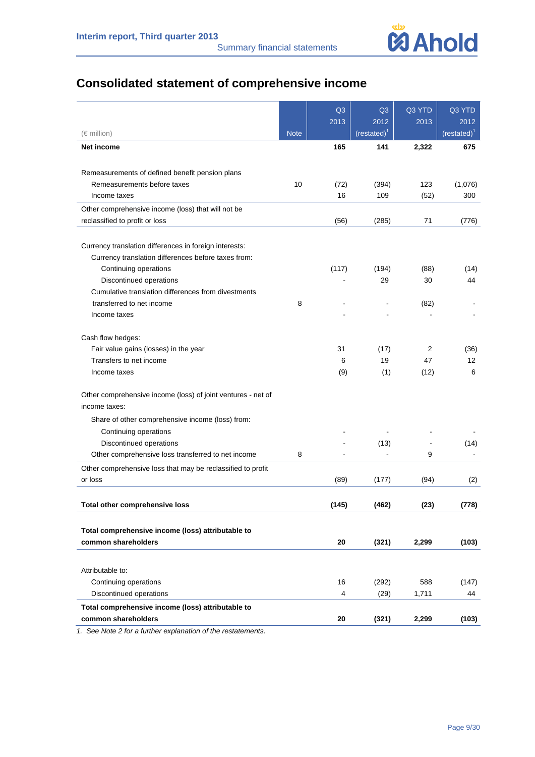# **Consolidated statement of comprehensive income**

|                                                              |             | Q <sub>3</sub>          | Q <sub>3</sub>         | Q3 YTD | Q3 YTD                 |
|--------------------------------------------------------------|-------------|-------------------------|------------------------|--------|------------------------|
| $(\in$ million)                                              | <b>Note</b> | 2013                    | 2012<br>$(restated)^1$ | 2013   | 2012<br>$(restated)^1$ |
| Net income                                                   |             | 165                     | 141                    | 2,322  | 675                    |
|                                                              |             |                         |                        |        |                        |
| Remeasurements of defined benefit pension plans              |             |                         |                        |        |                        |
| Remeasurements before taxes                                  | 10          | (72)                    | (394)                  | 123    | (1,076)                |
| Income taxes                                                 |             | 16                      | 109                    | (52)   | 300                    |
| Other comprehensive income (loss) that will not be           |             |                         |                        |        |                        |
| reclassified to profit or loss                               |             | (56)                    | (285)                  | 71     | (776)                  |
| Currency translation differences in foreign interests:       |             |                         |                        |        |                        |
| Currency translation differences before taxes from:          |             |                         |                        |        |                        |
| Continuing operations                                        |             | (117)                   | (194)                  | (88)   | (14)                   |
| Discontinued operations                                      |             |                         | 29                     | 30     | 44                     |
| Cumulative translation differences from divestments          |             |                         |                        |        |                        |
| transferred to net income                                    | 8           |                         |                        | (82)   |                        |
| Income taxes                                                 |             |                         |                        |        |                        |
|                                                              |             |                         |                        |        |                        |
| Cash flow hedges:                                            |             |                         |                        |        |                        |
| Fair value gains (losses) in the year                        |             | 31                      | (17)                   | 2      | (36)                   |
| Transfers to net income                                      |             | 6                       | 19                     | 47     | 12                     |
| Income taxes                                                 |             | (9)                     | (1)                    | (12)   | 6                      |
| Other comprehensive income (loss) of joint ventures - net of |             |                         |                        |        |                        |
| income taxes:                                                |             |                         |                        |        |                        |
| Share of other comprehensive income (loss) from:             |             |                         |                        |        |                        |
| Continuing operations                                        |             |                         |                        |        |                        |
| Discontinued operations                                      |             |                         | (13)                   |        | (14)                   |
| Other comprehensive loss transferred to net income           | 8           |                         |                        | 9      |                        |
| Other comprehensive loss that may be reclassified to profit  |             |                         |                        |        |                        |
| or loss                                                      |             | (89)                    | (177)                  | (94)   | (2)                    |
| Total other comprehensive loss                               |             | (145)                   | (462)                  | (23)   | (778)                  |
|                                                              |             |                         |                        |        |                        |
| Total comprehensive income (loss) attributable to            |             |                         |                        |        |                        |
| common shareholders                                          |             | 20                      | (321)                  | 2,299  | (103)                  |
|                                                              |             |                         |                        |        |                        |
| Attributable to:                                             |             |                         |                        |        |                        |
| Continuing operations                                        |             | 16                      | (292)                  | 588    | (147)                  |
| Discontinued operations                                      |             | $\overline{\mathbf{4}}$ | (29)                   | 1,711  | 44                     |
| Total comprehensive income (loss) attributable to            |             |                         |                        |        |                        |
| common shareholders                                          |             | 20                      | (321)                  | 2,299  | (103)                  |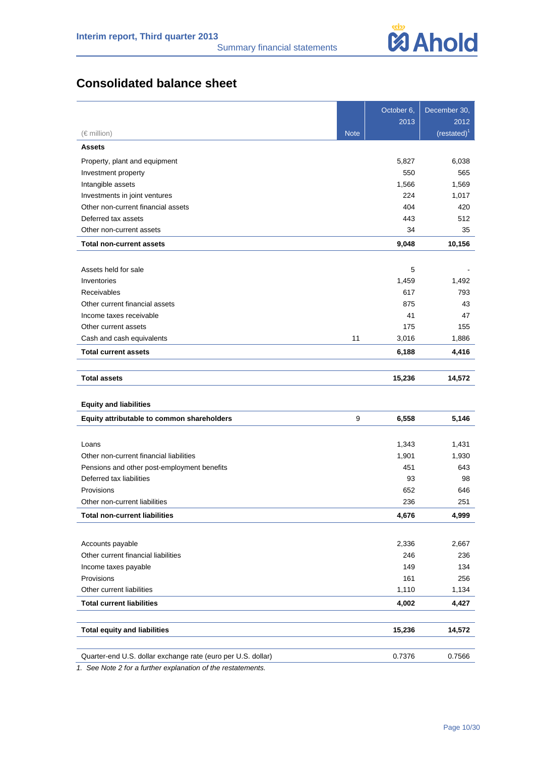# **Consolidated balance sheet**

|                                                              |             | October 6, | December 30,          |
|--------------------------------------------------------------|-------------|------------|-----------------------|
|                                                              |             | 2013       | 2012                  |
| $(\in$ million)                                              | <b>Note</b> |            | (rested) <sup>1</sup> |
| <b>Assets</b>                                                |             |            |                       |
| Property, plant and equipment                                |             | 5,827      | 6,038                 |
| Investment property                                          |             | 550        | 565                   |
| Intangible assets                                            |             | 1,566      | 1,569                 |
| Investments in joint ventures                                |             | 224        | 1,017                 |
| Other non-current financial assets                           |             | 404        | 420                   |
| Deferred tax assets                                          |             | 443        | 512                   |
| Other non-current assets                                     |             | 34         | 35                    |
| <b>Total non-current assets</b>                              |             | 9,048      | 10,156                |
|                                                              |             |            |                       |
| Assets held for sale                                         |             | 5          |                       |
| Inventories                                                  |             | 1,459      | 1,492                 |
| <b>Receivables</b>                                           |             | 617        | 793                   |
| Other current financial assets                               |             | 875        | 43                    |
| Income taxes receivable                                      |             | 41         | 47                    |
| Other current assets                                         |             | 175        | 155                   |
| Cash and cash equivalents                                    | 11          | 3,016      | 1,886                 |
| <b>Total current assets</b>                                  |             | 6,188      | 4,416                 |
| <b>Total assets</b>                                          |             |            |                       |
|                                                              |             | 15,236     | 14,572                |
| <b>Equity and liabilities</b>                                |             |            |                       |
| Equity attributable to common shareholders                   | 9           | 6,558      | 5,146                 |
|                                                              |             |            |                       |
| Loans                                                        |             | 1,343      | 1,431                 |
| Other non-current financial liabilities                      |             | 1,901      | 1,930                 |
| Pensions and other post-employment benefits                  |             | 451        | 643                   |
| Deferred tax liabilities                                     |             | 93         | 98                    |
| Provisions                                                   |             | 652        | 646                   |
| Other non-current liabilities                                |             | 236        | 251                   |
| <b>Total non-current liabilities</b>                         |             | 4,676      | 4,999                 |
|                                                              |             |            |                       |
| Accounts payable                                             |             | 2,336      | 2,667                 |
| Other current financial liabilities                          |             | 246        | 236                   |
| Income taxes payable                                         |             | 149        | 134                   |
| Provisions                                                   |             | 161        | 256                   |
| Other current liabilities                                    |             | 1,110      | 1,134                 |
| <b>Total current liabilities</b>                             |             | 4,002      | 4,427                 |
|                                                              |             |            |                       |
| <b>Total equity and liabilities</b>                          |             | 15,236     | 14,572                |
|                                                              |             |            |                       |
| Quarter-end U.S. dollar exchange rate (euro per U.S. dollar) |             | 0.7376     | 0.7566                |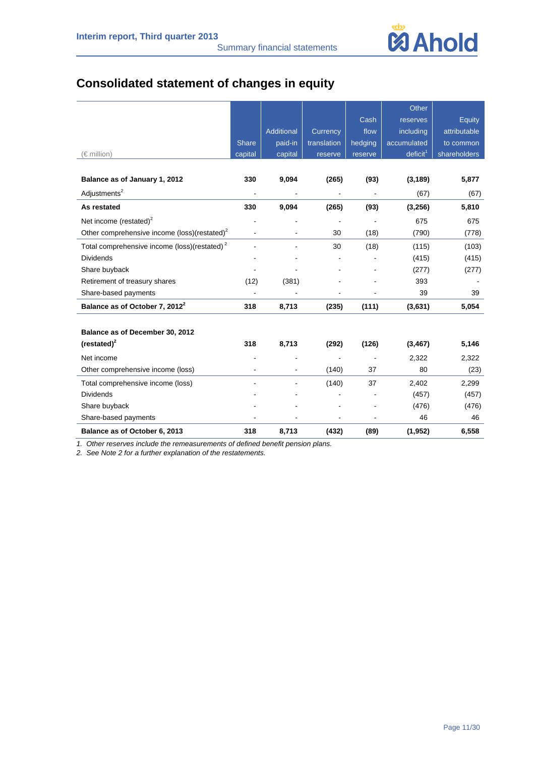

# **Consolidated statement of changes in equity**

|                                                          |                |            |             |         | Other                |              |
|----------------------------------------------------------|----------------|------------|-------------|---------|----------------------|--------------|
|                                                          |                |            |             | Cash    | reserves             | Equity       |
|                                                          |                | Additional | Currency    | flow    | including            | attributable |
|                                                          | <b>Share</b>   | paid-in    | translation | hedging | accumulated          | to common    |
| $(\in$ million)                                          | capital        | capital    | reserve     | reserve | deficit <sup>1</sup> | shareholders |
|                                                          |                |            |             |         |                      |              |
| Balance as of January 1, 2012                            | 330            | 9,094      | (265)       | (93)    | (3, 189)             | 5,877        |
| Adjustments <sup>2</sup>                                 |                |            |             |         | (67)                 | (67)         |
| As restated                                              | 330            | 9,094      | (265)       | (93)    | (3, 256)             | 5,810        |
| Net income (restated) $2$                                |                |            |             |         | 675                  | 675          |
| Other comprehensive income (loss)(restated) <sup>2</sup> | $\blacksquare$ |            | 30          | (18)    | (790)                | (778)        |
| Total comprehensive income (loss)(restated) <sup>2</sup> | $\blacksquare$ |            | 30          | (18)    | (115)                | (103)        |
| <b>Dividends</b>                                         |                |            |             |         | (415)                | (415)        |
| Share buyback                                            |                |            |             |         | (277)                | (277)        |
| Retirement of treasury shares                            | (12)           | (381)      |             |         | 393                  |              |
| Share-based payments                                     |                |            |             |         | 39                   | 39           |
| Balance as of October 7, 2012 <sup>2</sup>               | 318            | 8,713      | (235)       | (111)   | (3,631)              | 5,054        |
|                                                          |                |            |             |         |                      |              |
| Balance as of December 30, 2012                          |                |            |             |         |                      |              |
| $(restated)^2$                                           | 318            | 8,713      | (292)       | (126)   | (3, 467)             | 5,146        |
| Net income                                               |                |            |             |         | 2,322                | 2,322        |
| Other comprehensive income (loss)                        |                |            | (140)       | 37      | 80                   | (23)         |
| Total comprehensive income (loss)                        |                |            | (140)       | 37      | 2,402                | 2,299        |
| <b>Dividends</b>                                         |                |            |             |         | (457)                | (457)        |
| Share buyback                                            |                |            |             |         | (476)                | (476)        |
| Share-based payments                                     |                |            |             |         | 46                   | 46           |
| Balance as of October 6, 2013                            | 318            | 8,713      | (432)       | (89)    | (1, 952)             | 6,558        |

*1. Other reserves include the remeasurements of defined benefit pension plans.*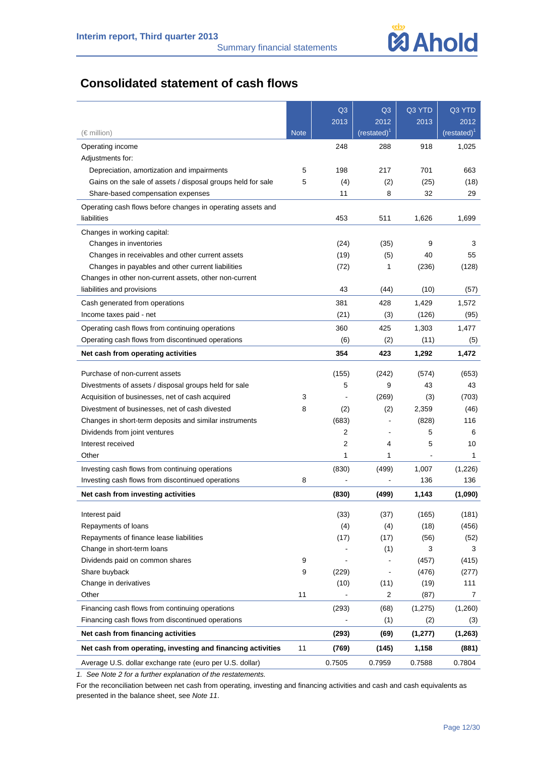

# **Consolidated statement of cash flows**

|                                                             |             | Q <sub>3</sub> | Q <sub>3</sub>         | Q3 YTD   | Q3 YTD                        |
|-------------------------------------------------------------|-------------|----------------|------------------------|----------|-------------------------------|
| (€ million)                                                 | <b>Note</b> | 2013           | 2012<br>$(restated)^1$ | 2013     | 2012<br>(rested) <sup>1</sup> |
| Operating income                                            |             | 248            | 288                    | 918      | 1,025                         |
| Adjustments for:                                            |             |                |                        |          |                               |
| Depreciation, amortization and impairments                  | 5           | 198            | 217                    | 701      | 663                           |
| Gains on the sale of assets / disposal groups held for sale | 5           | (4)            | (2)                    | (25)     | (18)                          |
| Share-based compensation expenses                           |             | 11             | 8                      | 32       | 29                            |
| Operating cash flows before changes in operating assets and |             |                |                        |          |                               |
| liabilities                                                 |             | 453            | 511                    | 1,626    | 1,699                         |
| Changes in working capital:                                 |             |                |                        |          |                               |
| Changes in inventories                                      |             | (24)           | (35)                   | 9        | 3                             |
| Changes in receivables and other current assets             |             | (19)           | (5)                    | 40       | 55                            |
| Changes in payables and other current liabilities           |             | (72)           | 1                      | (236)    | (128)                         |
| Changes in other non-current assets, other non-current      |             |                |                        |          |                               |
| liabilities and provisions                                  |             | 43             | (44)                   | (10)     | (57)                          |
| Cash generated from operations                              |             | 381            | 428                    | 1,429    | 1,572                         |
| Income taxes paid - net                                     |             | (21)           | (3)                    | (126)    | (95)                          |
| Operating cash flows from continuing operations             |             | 360            | 425                    | 1,303    | 1,477                         |
| Operating cash flows from discontinued operations           |             | (6)            | (2)                    | (11)     | (5)                           |
| Net cash from operating activities                          |             | 354            | 423                    | 1,292    | 1,472                         |
| Purchase of non-current assets                              |             | (155)          | (242)                  | (574)    | (653)                         |
| Divestments of assets / disposal groups held for sale       |             | 5              | 9                      | 43       | 43                            |
| Acquisition of businesses, net of cash acquired             | 3           |                | (269)                  | (3)      | (703)                         |
| Divestment of businesses, net of cash divested              | 8           | (2)            | (2)                    | 2,359    | (46)                          |
| Changes in short-term deposits and similar instruments      |             | (683)          |                        | (828)    | 116                           |
| Dividends from joint ventures                               |             | 2              |                        | 5        | 6                             |
| Interest received                                           |             | $\overline{2}$ | 4                      | 5        | 10                            |
| Other                                                       |             | 1              | 1                      | ä,       | 1                             |
| Investing cash flows from continuing operations             |             | (830)          | (499)                  | 1,007    | (1,226)                       |
| Investing cash flows from discontinued operations           | 8           |                |                        | 136      | 136                           |
| Net cash from investing activities                          |             | (830)          | (499)                  | 1,143    | (1,090)                       |
| Interest paid                                               |             | (33)           | (37)                   | (165)    | (181)                         |
| Repayments of loans                                         |             | (4)            | (4)                    | (18)     | (456)                         |
| Repayments of finance lease liabilities                     |             | (17)           | (17)                   | (56)     | (52)                          |
| Change in short-term loans                                  |             |                | (1)                    | 3        | 3                             |
| Dividends paid on common shares                             | 9           |                |                        | (457)    | (415)                         |
| Share buyback                                               | 9           | (229)          |                        | (476)    | (277)                         |
| Change in derivatives                                       |             | (10)           | (11)                   | (19)     | 111                           |
| Other                                                       | 11          |                | $\overline{c}$         | (87)     | $\overline{7}$                |
| Financing cash flows from continuing operations             |             | (293)          | (68)                   | (1, 275) | (1,260)                       |
| Financing cash flows from discontinued operations           |             |                | (1)                    | (2)      | (3)                           |
| Net cash from financing activities                          |             | (293)          | (69)                   | (1, 277) | (1, 263)                      |
| Net cash from operating, investing and financing activities | 11          | (769)          | (145)                  | 1,158    | (881)                         |
| Average U.S. dollar exchange rate (euro per U.S. dollar)    |             | 0.7505         | 0.7959                 | 0.7588   | 0.7804                        |

*1. See Note 2 for a further explanation of the restatements.* 

For the reconciliation between net cash from operating, investing and financing activities and cash and cash equivalents as presented in the balance sheet, see *Note 11*.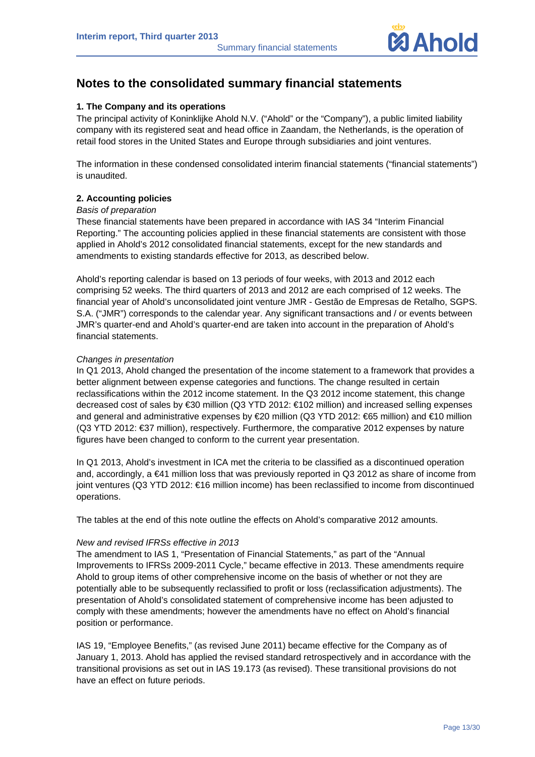

# **Notes to the consolidated summary financial statements**

#### **1. The Company and its operations**

The principal activity of Koninklijke Ahold N.V. ("Ahold" or the "Company"), a public limited liability company with its registered seat and head office in Zaandam, the Netherlands, is the operation of retail food stores in the United States and Europe through subsidiaries and joint ventures.

The information in these condensed consolidated interim financial statements ("financial statements") is unaudited.

#### **2. Accounting policies**

#### *Basis of preparation*

These financial statements have been prepared in accordance with IAS 34 "Interim Financial Reporting." The accounting policies applied in these financial statements are consistent with those applied in Ahold's 2012 consolidated financial statements, except for the new standards and amendments to existing standards effective for 2013, as described below.

Ahold's reporting calendar is based on 13 periods of four weeks, with 2013 and 2012 each comprising 52 weeks. The third quarters of 2013 and 2012 are each comprised of 12 weeks. The financial year of Ahold's unconsolidated joint venture JMR - Gestão de Empresas de Retalho, SGPS. S.A. ("JMR") corresponds to the calendar year. Any significant transactions and / or events between JMR's quarter-end and Ahold's quarter-end are taken into account in the preparation of Ahold's financial statements.

#### *Changes in presentation*

In Q1 2013, Ahold changed the presentation of the income statement to a framework that provides a better alignment between expense categories and functions. The change resulted in certain reclassifications within the 2012 income statement. In the Q3 2012 income statement, this change decreased cost of sales by €30 million (Q3 YTD 2012: €102 million) and increased selling expenses and general and administrative expenses by €20 million (Q3 YTD 2012: €65 million) and €10 million (Q3 YTD 2012: €37 million), respectively. Furthermore, the comparative 2012 expenses by nature figures have been changed to conform to the current year presentation.

In Q1 2013, Ahold's investment in ICA met the criteria to be classified as a discontinued operation and, accordingly, a €41 million loss that was previously reported in Q3 2012 as share of income from joint ventures (Q3 YTD 2012: €16 million income) has been reclassified to income from discontinued operations.

The tables at the end of this note outline the effects on Ahold's comparative 2012 amounts.

#### *New and revised IFRSs effective in 2013*

The amendment to IAS 1, "Presentation of Financial Statements," as part of the "Annual Improvements to IFRSs 2009-2011 Cycle," became effective in 2013. These amendments require Ahold to group items of other comprehensive income on the basis of whether or not they are potentially able to be subsequently reclassified to profit or loss (reclassification adjustments). The presentation of Ahold's consolidated statement of comprehensive income has been adjusted to comply with these amendments; however the amendments have no effect on Ahold's financial position or performance.

IAS 19, "Employee Benefits," (as revised June 2011) became effective for the Company as of January 1, 2013. Ahold has applied the revised standard retrospectively and in accordance with the transitional provisions as set out in IAS 19.173 (as revised). These transitional provisions do not have an effect on future periods.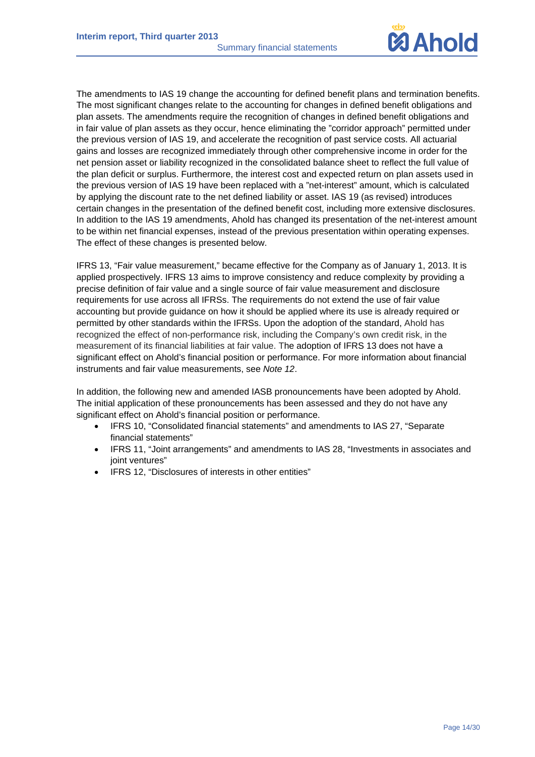

The amendments to IAS 19 change the accounting for defined benefit plans and termination benefits. The most significant changes relate to the accounting for changes in defined benefit obligations and plan assets. The amendments require the recognition of changes in defined benefit obligations and in fair value of plan assets as they occur, hence eliminating the "corridor approach" permitted under the previous version of IAS 19, and accelerate the recognition of past service costs. All actuarial gains and losses are recognized immediately through other comprehensive income in order for the net pension asset or liability recognized in the consolidated balance sheet to reflect the full value of the plan deficit or surplus. Furthermore, the interest cost and expected return on plan assets used in the previous version of IAS 19 have been replaced with a "net-interest" amount, which is calculated by applying the discount rate to the net defined liability or asset. IAS 19 (as revised) introduces certain changes in the presentation of the defined benefit cost, including more extensive disclosures. In addition to the IAS 19 amendments, Ahold has changed its presentation of the net-interest amount to be within net financial expenses, instead of the previous presentation within operating expenses. The effect of these changes is presented below.

IFRS 13, "Fair value measurement," became effective for the Company as of January 1, 2013. It is applied prospectively. IFRS 13 aims to improve consistency and reduce complexity by providing a precise definition of fair value and a single source of fair value measurement and disclosure requirements for use across all IFRSs. The requirements do not extend the use of fair value accounting but provide guidance on how it should be applied where its use is already required or permitted by other standards within the IFRSs. Upon the adoption of the standard, Ahold has recognized the effect of non-performance risk, including the Company's own credit risk, in the measurement of its financial liabilities at fair value. The adoption of IFRS 13 does not have a significant effect on Ahold's financial position or performance. For more information about financial instruments and fair value measurements, see *Note 12*.

In addition, the following new and amended IASB pronouncements have been adopted by Ahold. The initial application of these pronouncements has been assessed and they do not have any significant effect on Ahold's financial position or performance.

- IFRS 10, "Consolidated financial statements" and amendments to IAS 27, "Separate financial statements"
- IFRS 11, "Joint arrangements" and amendments to IAS 28, "Investments in associates and joint ventures"
- IFRS 12, "Disclosures of interests in other entities"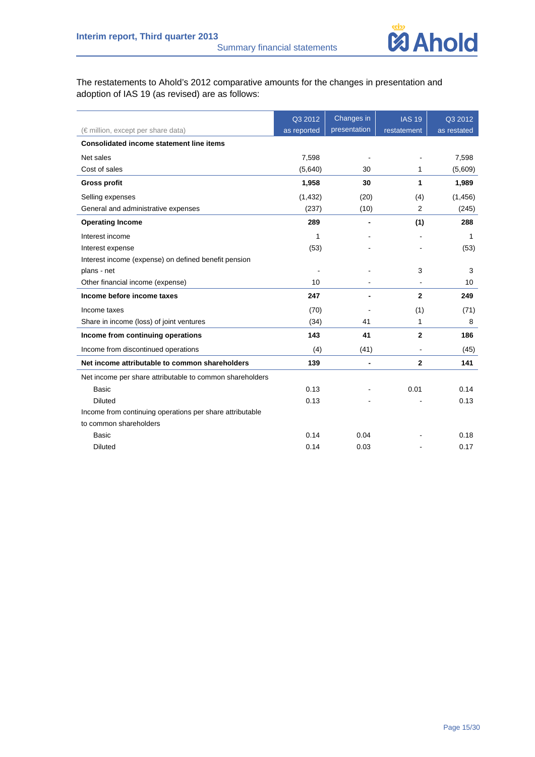

The restatements to Ahold's 2012 comparative amounts for the changes in presentation and adoption of IAS 19 (as revised) are as follows:

|                                                          | Q3 2012     | Changes in   | <b>IAS 19</b>  | Q3 2012     |
|----------------------------------------------------------|-------------|--------------|----------------|-------------|
| $(\epsilon$ million, except per share data)              | as reported | presentation | restatement    | as restated |
| <b>Consolidated income statement line items</b>          |             |              |                |             |
| Net sales                                                | 7,598       |              |                | 7,598       |
| Cost of sales                                            | (5,640)     | 30           | 1              | (5,609)     |
| <b>Gross profit</b>                                      | 1,958       | 30           | 1              | 1,989       |
| Selling expenses                                         | (1, 432)    | (20)         | (4)            | (1, 456)    |
| General and administrative expenses                      | (237)       | (10)         | $\overline{2}$ | (245)       |
| <b>Operating Income</b>                                  | 289         | ٠            | (1)            | 288         |
| Interest income                                          | 1           |              |                | 1           |
| Interest expense                                         | (53)        |              |                | (53)        |
| Interest income (expense) on defined benefit pension     |             |              |                |             |
| plans - net                                              |             |              | 3              | 3           |
| Other financial income (expense)                         | 10          |              | $\blacksquare$ | 10          |
| Income before income taxes                               | 247         |              | $\mathbf{2}$   | 249         |
| Income taxes                                             | (70)        |              | (1)            | (71)        |
| Share in income (loss) of joint ventures                 | (34)        | 41           | 1              | 8           |
| Income from continuing operations                        | 143         | 41           | $\mathbf{2}$   | 186         |
| Income from discontinued operations                      | (4)         | (41)         | ÷,             | (45)        |
| Net income attributable to common shareholders           | 139         |              | $\mathbf{2}$   | 141         |
| Net income per share attributable to common shareholders |             |              |                |             |
| <b>Basic</b>                                             | 0.13        |              | 0.01           | 0.14        |
| <b>Diluted</b>                                           | 0.13        |              |                | 0.13        |
| Income from continuing operations per share attributable |             |              |                |             |
| to common shareholders                                   |             |              |                |             |
| <b>Basic</b>                                             | 0.14        | 0.04         |                | 0.18        |
| <b>Diluted</b>                                           | 0.14        | 0.03         |                | 0.17        |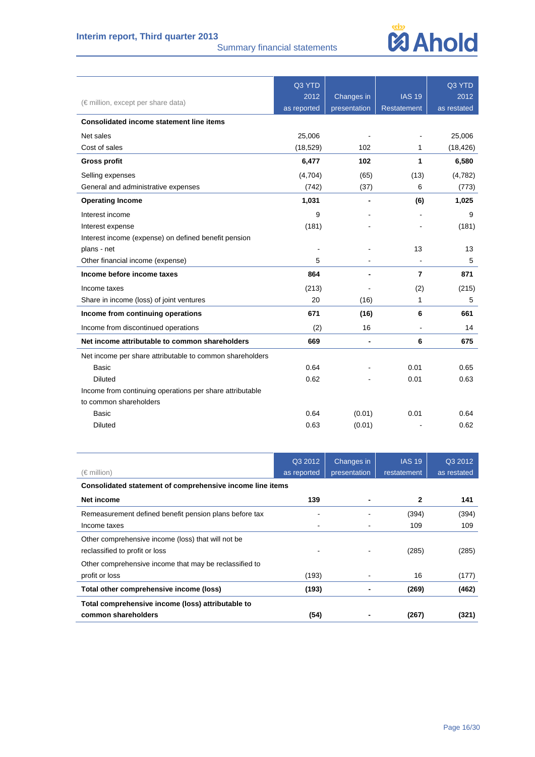## **Interim report, Third quarter 2013**

Summary financial statements



|                                                          | Q3 YTD      |              |                    | Q3 YTD      |
|----------------------------------------------------------|-------------|--------------|--------------------|-------------|
| $(\epsilon$ million, except per share data)              | 2012        | Changes in   | <b>IAS 19</b>      | 2012        |
|                                                          | as reported | presentation | <b>Restatement</b> | as restated |
| <b>Consolidated income statement line items</b>          |             |              |                    |             |
| Net sales                                                | 25,006      |              |                    | 25.006      |
| Cost of sales                                            | (18, 529)   | 102          | 1                  | (18, 426)   |
| <b>Gross profit</b>                                      | 6,477       | 102          | 1                  | 6,580       |
| Selling expenses                                         | (4,704)     | (65)         | (13)               | (4,782)     |
| General and administrative expenses                      | (742)       | (37)         | 6                  | (773)       |
| <b>Operating Income</b>                                  | 1,031       |              | (6)                | 1,025       |
| Interest income                                          | 9           |              |                    | 9           |
| Interest expense                                         | (181)       |              |                    | (181)       |
| Interest income (expense) on defined benefit pension     |             |              |                    |             |
| plans - net                                              |             |              | 13                 | 13          |
| Other financial income (expense)                         | 5           |              | $\blacksquare$     | 5           |
| Income before income taxes                               | 864         |              | 7                  | 871         |
| Income taxes                                             | (213)       |              | (2)                | (215)       |
| Share in income (loss) of joint ventures                 | 20          | (16)         | 1                  | 5           |
| Income from continuing operations                        | 671         | (16)         | 6                  | 661         |
| Income from discontinued operations                      | (2)         | 16           |                    | 14          |
| Net income attributable to common shareholders           | 669         |              | 6                  | 675         |
| Net income per share attributable to common shareholders |             |              |                    |             |
| <b>Basic</b>                                             | 0.64        |              | 0.01               | 0.65        |
| <b>Diluted</b>                                           | 0.62        |              | 0.01               | 0.63        |
| Income from continuing operations per share attributable |             |              |                    |             |
| to common shareholders                                   |             |              |                    |             |
| <b>Basic</b>                                             | 0.64        | (0.01)       | 0.01               | 0.64        |
| <b>Diluted</b>                                           | 0.63        | (0.01)       |                    | 0.62        |
|                                                          |             |              |                    |             |

|                                                           | Q3 2012     | Changes in   | <b>IAS 19</b> | Q3 2012     |
|-----------------------------------------------------------|-------------|--------------|---------------|-------------|
| (€ million)                                               | as reported | presentation | restatement   | as restated |
| Consolidated statement of comprehensive income line items |             |              |               |             |
| Net income                                                | 139         |              | 2             | 141         |
| Remeasurement defined benefit pension plans before tax    |             |              | (394)         | (394)       |
| Income taxes                                              |             |              | 109           | 109         |
| Other comprehensive income (loss) that will not be        |             |              |               |             |
| reclassified to profit or loss                            |             |              | (285)         | (285)       |
| Other comprehensive income that may be reclassified to    |             |              |               |             |
| profit or loss                                            | (193)       |              | 16            | (177)       |
| Total other comprehensive income (loss)                   | (193)       |              | (269)         | (462)       |
| Total comprehensive income (loss) attributable to         |             |              |               |             |
| common shareholders                                       | (54)        |              | (267)         | (321)       |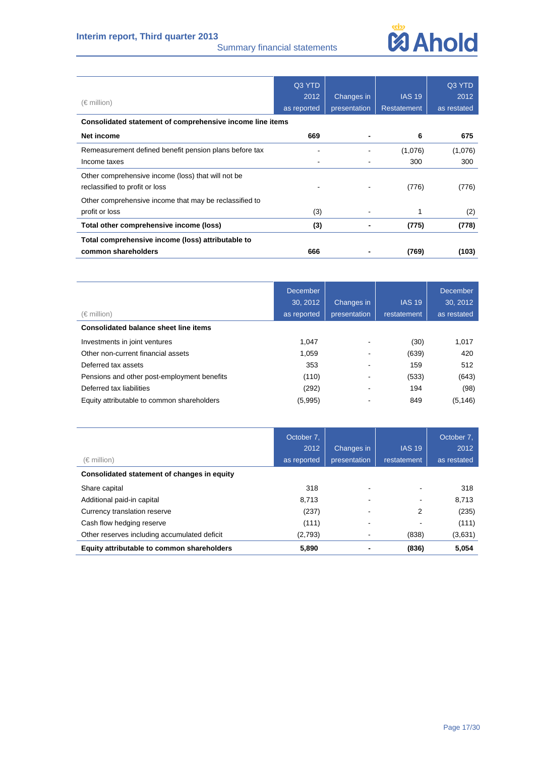## **Interim report, Third quarter 2013**

#### Summary financial statements



| $(\in$ million)                                           | Q3 YTD<br>2012<br>as reported | Changes in<br>presentation | <b>IAS 19</b><br><b>Restatement</b> | Q3 YTD<br>2012<br>as restated |  |  |
|-----------------------------------------------------------|-------------------------------|----------------------------|-------------------------------------|-------------------------------|--|--|
| Consolidated statement of comprehensive income line items |                               |                            |                                     |                               |  |  |
| Net income                                                | 669                           |                            | 6                                   | 675                           |  |  |
| Remeasurement defined benefit pension plans before tax    |                               |                            | (1,076)                             | (1,076)                       |  |  |
| Income taxes                                              |                               |                            | 300                                 | 300                           |  |  |
| Other comprehensive income (loss) that will not be        |                               |                            |                                     |                               |  |  |
| reclassified to profit or loss                            |                               |                            | (776)                               | (776)                         |  |  |
| Other comprehensive income that may be reclassified to    |                               |                            |                                     |                               |  |  |
| profit or loss                                            | (3)                           |                            | 1                                   | (2)                           |  |  |
| Total other comprehensive income (loss)                   | (3)                           |                            | (775)                               | (778)                         |  |  |
| Total comprehensive income (loss) attributable to         |                               |                            |                                     |                               |  |  |
| common shareholders                                       | 666                           |                            | (769)                               | (103)                         |  |  |

| $(\in$ million)                              | <b>December</b><br>30.2012<br>as reported | Changes in<br>presentation | <b>IAS 19</b><br>restatement | <b>December</b><br>30, 2012<br>as restated |
|----------------------------------------------|-------------------------------------------|----------------------------|------------------------------|--------------------------------------------|
| <b>Consolidated balance sheet line items</b> |                                           |                            |                              |                                            |
| Investments in joint ventures                | 1.047                                     |                            | (30)                         | 1,017                                      |
| Other non-current financial assets           | 1.059                                     | ۰                          | (639)                        | 420                                        |
| Deferred tax assets                          | 353                                       |                            | 159                          | 512                                        |
| Pensions and other post-employment benefits  | (110)                                     |                            | (533)                        | (643)                                      |
| Deferred tax liabilities                     | (292)                                     | $\overline{\phantom{a}}$   | 194                          | (98)                                       |
| Equity attributable to common shareholders   | (5,995)                                   |                            | 849                          | (5, 146)                                   |

| (€ million)                                  | October 7,<br>2012<br>as reported | Changes in<br>presentation | <b>IAS 19</b><br>restatement | October 7,<br>2012<br>as restated |
|----------------------------------------------|-----------------------------------|----------------------------|------------------------------|-----------------------------------|
| Consolidated statement of changes in equity  |                                   |                            |                              |                                   |
| Share capital                                | 318                               |                            |                              | 318                               |
| Additional paid-in capital                   | 8.713                             |                            |                              | 8,713                             |
| Currency translation reserve                 | (237)                             | ۰                          | 2                            | (235)                             |
| Cash flow hedging reserve                    | (111)                             | -                          |                              | (111)                             |
| Other reserves including accumulated deficit | (2,793)                           | ٠                          | (838)                        | (3,631)                           |
| Equity attributable to common shareholders   | 5.890                             |                            | (836)                        | 5.054                             |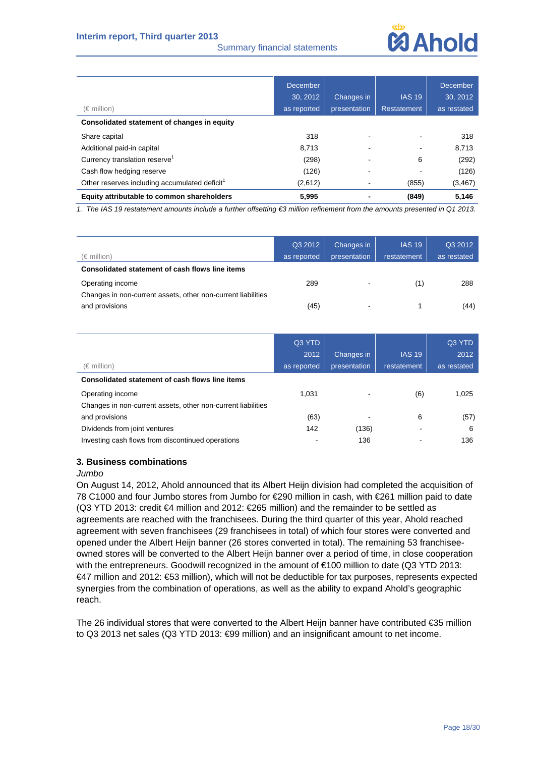#### Summary financial statements



| (€ million)                                               | December<br>30, 2012<br>as reported | Changes in<br>presentation | <b>IAS 19</b><br>Restatement | December<br>30, 2012<br>as restated |
|-----------------------------------------------------------|-------------------------------------|----------------------------|------------------------------|-------------------------------------|
| Consolidated statement of changes in equity               |                                     |                            |                              |                                     |
| Share capital                                             | 318                                 |                            |                              | 318                                 |
| Additional paid-in capital                                | 8,713                               |                            |                              | 8,713                               |
| Currency translation reserve <sup>1</sup>                 | (298)                               |                            | 6                            | (292)                               |
| Cash flow hedging reserve                                 | (126)                               |                            |                              | (126)                               |
| Other reserves including accumulated deficit <sup>1</sup> | (2,612)                             |                            | (855)                        | (3, 467)                            |
| Equity attributable to common shareholders                | 5.995                               |                            | (849)                        | 5,146                               |

*1. The IAS 19 restatement amounts include a further offsetting €3 million refinement from the amounts presented in Q1 2013.* 

| $(\in$ million)                                              | Q3 2012<br>as reported | Changes in<br>presentation | <b>IAS 19</b><br>restatement | Q3 2012<br>as restated |
|--------------------------------------------------------------|------------------------|----------------------------|------------------------------|------------------------|
| Consolidated statement of cash flows line items              |                        |                            |                              |                        |
| Operating income                                             | 289                    | -                          | (1)                          | 288                    |
| Changes in non-current assets, other non-current liabilities |                        |                            |                              |                        |
| and provisions                                               | (45)                   | ٠                          |                              | (44)                   |

| (€ million)                                                  | Q3 YTD<br>2012<br>as reported | Changes in<br>presentation | <b>IAS 19</b><br>restatement | Q3 YTD<br>2012<br>as restated |
|--------------------------------------------------------------|-------------------------------|----------------------------|------------------------------|-------------------------------|
| Consolidated statement of cash flows line items              |                               |                            |                              |                               |
| Operating income                                             | 1.031                         |                            | (6)                          | 1,025                         |
| Changes in non-current assets, other non-current liabilities |                               |                            |                              |                               |
| and provisions                                               | (63)                          | $\,$                       | 6                            | (57)                          |
| Dividends from joint ventures                                | 142                           | (136)                      |                              | 6                             |
| Investing cash flows from discontinued operations            |                               | 136                        |                              | 136                           |

#### **3. Business combinations**

#### *Jumbo*

On August 14, 2012, Ahold announced that its Albert Heijn division had completed the acquisition of 78 C1000 and four Jumbo stores from Jumbo for €290 million in cash, with €261 million paid to date (Q3 YTD 2013: credit €4 million and 2012: €265 million) and the remainder to be settled as agreements are reached with the franchisees. During the third quarter of this year, Ahold reached agreement with seven franchisees (29 franchisees in total) of which four stores were converted and opened under the Albert Heijn banner (26 stores converted in total). The remaining 53 franchiseeowned stores will be converted to the Albert Heijn banner over a period of time, in close cooperation with the entrepreneurs. Goodwill recognized in the amount of €100 million to date (Q3 YTD 2013: €47 million and 2012: €53 million), which will not be deductible for tax purposes, represents expected synergies from the combination of operations, as well as the ability to expand Ahold's geographic reach.

The 26 individual stores that were converted to the Albert Heijn banner have contributed €35 million to Q3 2013 net sales (Q3 YTD 2013: €99 million) and an insignificant amount to net income.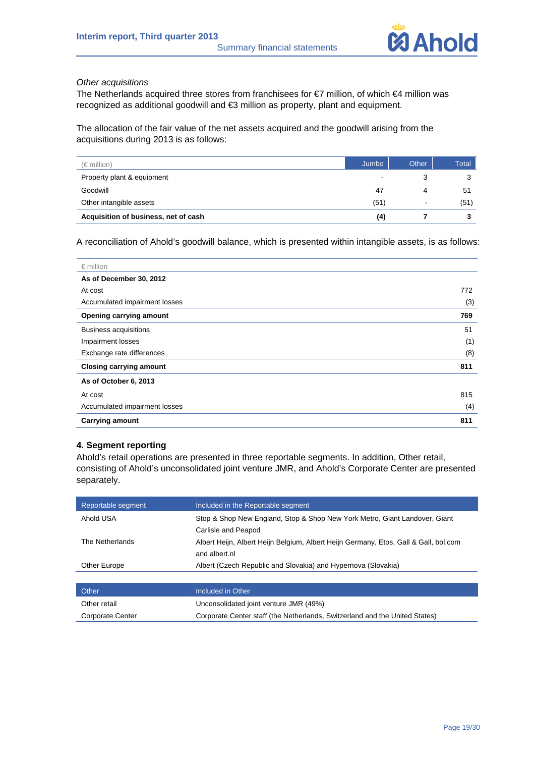

#### *Other acquisitions*

The Netherlands acquired three stores from franchisees for €7 million, of which €4 million was recognized as additional goodwill and €3 million as property, plant and equipment.

The allocation of the fair value of the net assets acquired and the goodwill arising from the acquisitions during 2013 is as follows:

| (€ million)                          | Jumbo | Other          | Total |
|--------------------------------------|-------|----------------|-------|
| Property plant & equipment           |       |                |       |
| Goodwill                             | 47    | 4              | -51   |
| Other intangible assets              | (51)  | $\blacksquare$ | (51)  |
| Acquisition of business, net of cash | (4)   |                |       |

A reconciliation of Ahold's goodwill balance, which is presented within intangible assets, is as follows:

| $\epsilon$ million             |     |
|--------------------------------|-----|
| As of December 30, 2012        |     |
| At cost                        | 772 |
| Accumulated impairment losses  | (3) |
| Opening carrying amount        | 769 |
| <b>Business acquisitions</b>   | 51  |
| Impairment losses              | (1) |
| Exchange rate differences      | (8) |
| <b>Closing carrying amount</b> | 811 |
| As of October 6, 2013          |     |
| At cost                        | 815 |
| Accumulated impairment losses  | (4) |
| <b>Carrying amount</b>         | 811 |

#### **4. Segment reporting**

Ahold's retail operations are presented in three reportable segments. In addition, Other retail, consisting of Ahold's unconsolidated joint venture JMR, and Ahold's Corporate Center are presented separately.

| Reportable segment | Included in the Reportable segment                                                                    |
|--------------------|-------------------------------------------------------------------------------------------------------|
| Ahold USA          | Stop & Shop New England, Stop & Shop New York Metro, Giant Landover, Giant<br>Carlisle and Peapod     |
| The Netherlands    | Albert Heijn, Albert Heijn Belgium, Albert Heijn Germany, Etos, Gall & Gall, bol.com<br>and albert.nl |
| Other Europe       | Albert (Czech Republic and Slovakia) and Hypernova (Slovakia)                                         |
|                    |                                                                                                       |

| <b>Other</b>     | Included in Other                                                           |
|------------------|-----------------------------------------------------------------------------|
| Other retail     | Unconsolidated joint venture JMR (49%)                                      |
| Corporate Center | Corporate Center staff (the Netherlands, Switzerland and the United States) |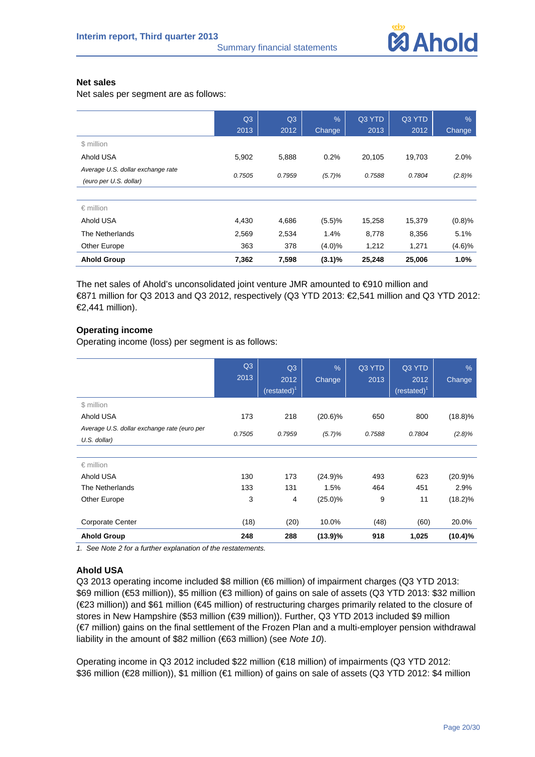

#### **Net sales**

Net sales per segment are as follows:

|                                   | Q3     | Q3     | $\frac{9}{6}$ | Q3 YTD | Q3 YTD | $\%$   |
|-----------------------------------|--------|--------|---------------|--------|--------|--------|
|                                   | 2013   | 2012   | <b>Change</b> | 2013   | 2012   | Change |
| \$ million                        |        |        |               |        |        |        |
| Ahold USA                         | 5,902  | 5,888  | 0.2%          | 20,105 | 19,703 | 2.0%   |
| Average U.S. dollar exchange rate | 0.7505 | 0.7959 | (5.7)%        | 0.7588 | 0.7804 | (2.8)% |
| (euro per U.S. dollar)            |        |        |               |        |        |        |
|                                   |        |        |               |        |        |        |
| $\epsilon$ million                |        |        |               |        |        |        |
| Ahold USA                         | 4,430  | 4,686  | (5.5)%        | 15,258 | 15,379 | (0.8)% |
| The Netherlands                   | 2,569  | 2,534  | 1.4%          | 8,778  | 8,356  | 5.1%   |
| Other Europe                      | 363    | 378    | $(4.0)\%$     | 1,212  | 1,271  | (4.6)% |
| <b>Ahold Group</b>                | 7,362  | 7,598  | $(3.1)\%$     | 25,248 | 25,006 | 1.0%   |

The net sales of Ahold's unconsolidated joint venture JMR amounted to €910 million and €871 million for Q3 2013 and Q3 2012, respectively (Q3 YTD 2013: €2,541 million and Q3 YTD 2012: €2,441 million).

#### **Operating income**

Operating income (loss) per segment is as follows:

|                                                             | Q3<br>2013 | Q3<br>2012<br>(rested) <sup>1</sup> | $\frac{9}{6}$<br>Change | Q3 YTD<br>2013 | Q3 YTD<br>2012<br>$(restated)^1$ | $\frac{9}{6}$<br>Change |
|-------------------------------------------------------------|------------|-------------------------------------|-------------------------|----------------|----------------------------------|-------------------------|
| \$ million                                                  |            |                                     |                         |                |                                  |                         |
| Ahold USA                                                   | 173        | 218                                 | $(20.6)\%$              | 650            | 800                              | $(18.8)\%$              |
| Average U.S. dollar exchange rate (euro per<br>U.S. dollar) | 0.7505     | 0.7959                              | (5.7)%                  | 0.7588         | 0.7804                           | (2.8)%                  |
|                                                             |            |                                     |                         |                |                                  |                         |
| $\epsilon$ million                                          |            |                                     |                         |                |                                  |                         |
| Ahold USA                                                   | 130        | 173                                 | (24.9)%                 | 493            | 623                              | (20.9)%                 |
| The Netherlands                                             | 133        | 131                                 | 1.5%                    | 464            | 451                              | 2.9%                    |
| Other Europe                                                | 3          | 4                                   | $(25.0)\%$              | 9              | 11                               | $(18.2)\%$              |
|                                                             |            |                                     |                         |                |                                  |                         |
| <b>Corporate Center</b>                                     | (18)       | (20)                                | 10.0%                   | (48)           | (60)                             | 20.0%                   |
| <b>Ahold Group</b>                                          | 248        | 288                                 | (13.9)%                 | 918            | 1,025                            | $(10.4)\%$              |

*1. See Note 2 for a further explanation of the restatements.* 

#### **Ahold USA**

Q3 2013 operating income included \$8 million (€6 million) of impairment charges (Q3 YTD 2013: \$69 million (€53 million)), \$5 million (€3 million) of gains on sale of assets (Q3 YTD 2013: \$32 million (€23 million)) and \$61 million (€45 million) of restructuring charges primarily related to the closure of stores in New Hampshire (\$53 million (€39 million)). Further, Q3 YTD 2013 included \$9 million (€7 million) gains on the final settlement of the Frozen Plan and a multi-employer pension withdrawal liability in the amount of \$82 million (€63 million) (see *Note 10*).

Operating income in Q3 2012 included \$22 million (€18 million) of impairments (Q3 YTD 2012: \$36 million (€28 million)), \$1 million (€1 million) of gains on sale of assets (Q3 YTD 2012: \$4 million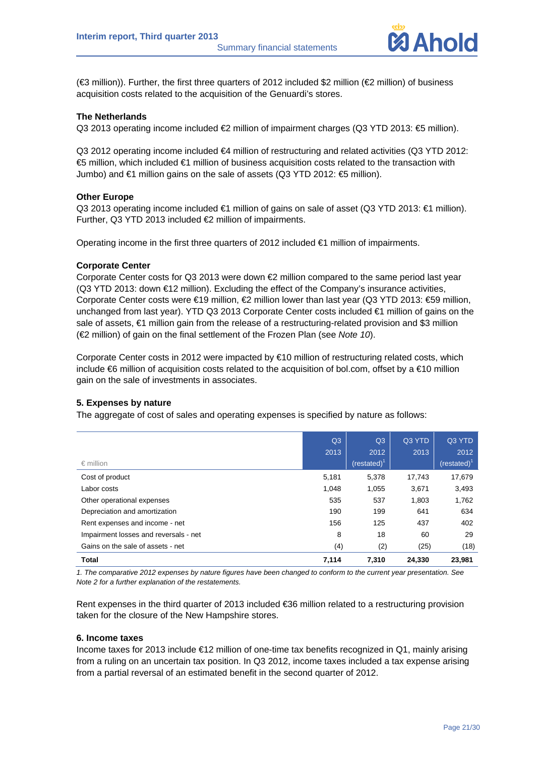

(€3 million)). Further, the first three quarters of 2012 included \$2 million (€2 million) of business acquisition costs related to the acquisition of the Genuardi's stores.

#### **The Netherlands**

Q3 2013 operating income included €2 million of impairment charges (Q3 YTD 2013: €5 million).

Q3 2012 operating income included €4 million of restructuring and related activities (Q3 YTD 2012: €5 million, which included €1 million of business acquisition costs related to the transaction with Jumbo) and €1 million gains on the sale of assets (Q3 YTD 2012: €5 million).

#### **Other Europe**

Q3 2013 operating income included €1 million of gains on sale of asset (Q3 YTD 2013: €1 million). Further, Q3 YTD 2013 included €2 million of impairments.

Operating income in the first three quarters of 2012 included  $\epsilon$ 1 million of impairments.

#### **Corporate Center**

Corporate Center costs for Q3 2013 were down €2 million compared to the same period last year (Q3 YTD 2013: down €12 million). Excluding the effect of the Company's insurance activities, Corporate Center costs were €19 million, €2 million lower than last year (Q3 YTD 2013: €59 million, unchanged from last year). YTD Q3 2013 Corporate Center costs included €1 million of gains on the sale of assets, €1 million gain from the release of a restructuring-related provision and \$3 million (€2 million) of gain on the final settlement of the Frozen Plan (see *Note 10*).

Corporate Center costs in 2012 were impacted by €10 million of restructuring related costs, which include €6 million of acquisition costs related to the acquisition of bol.com, offset by a €10 million gain on the sale of investments in associates.

#### **5. Expenses by nature**

The aggregate of cost of sales and operating expenses is specified by nature as follows:

| <b>Total</b>                          | 7,114          | 7,310          | 24.330 | 23.981         |
|---------------------------------------|----------------|----------------|--------|----------------|
| Gains on the sale of assets - net     | (4)            | (2)            | (25)   | (18)           |
| Impairment losses and reversals - net | 8              | 18             | 60     | 29             |
| Rent expenses and income - net        | 156            | 125            | 437    | 402            |
| Depreciation and amortization         | 190            | 199            | 641    | 634            |
| Other operational expenses            | 535            | 537            | 1,803  | 1,762          |
| Labor costs                           | 1,048          | 1,055          | 3,671  | 3,493          |
| Cost of product                       | 5,181          | 5,378          | 17.743 | 17,679         |
| $\epsilon$ million                    |                | $(restated)^1$ |        | (restated) $1$ |
|                                       | 2013           | 2012           | 2013   | 2012           |
|                                       | Q <sub>3</sub> | Q <sub>3</sub> | Q3 YTD | Q3 YTD         |
|                                       |                |                |        |                |

*1. The comparative 2012 expenses by nature figures have been changed to conform to the current year presentation. See Note 2 for a further explanation of the restatements.* 

Rent expenses in the third quarter of 2013 included €36 million related to a restructuring provision taken for the closure of the New Hampshire stores.

#### **6. Income taxes**

Income taxes for 2013 include €12 million of one-time tax benefits recognized in Q1, mainly arising from a ruling on an uncertain tax position. In Q3 2012, income taxes included a tax expense arising from a partial reversal of an estimated benefit in the second quarter of 2012.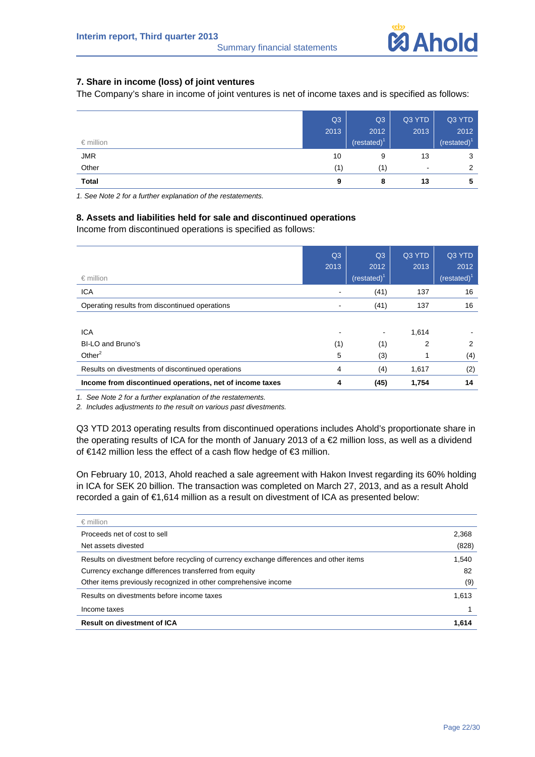# Summary financial statements

#### **7. Share in income (loss) of joint ventures**

The Company's share in income of joint ventures is net of income taxes and is specified as follows:

|                    | Q3   | Q <sub>3</sub>  | Q3 YTD                   | Q3 YTD                  |
|--------------------|------|-----------------|--------------------------|-------------------------|
|                    | 2013 | 2012            | 2013                     | 2012                    |
| $\epsilon$ million |      | (restated) $^1$ |                          | (restated) <sup>1</sup> |
| <b>JMR</b>         | 10   | 9               | 13                       | 3                       |
| Other              | (1)  | (1)             | $\overline{\phantom{a}}$ | 2                       |
| <b>Total</b>       | 9    | 8               | 13                       | 5                       |

*1. See Note 2 for a further explanation of the restatements.* 

#### **8. Assets and liabilities held for sale and discontinued operations**

Income from discontinued operations is specified as follows:

| $\epsilon$ million                                       | Q <sub>3</sub><br>2013 | Q <sub>3</sub><br>2012<br>$(rested)^T$ | Q3 YTD<br>2013 | Q3 YTD<br>2012<br>$(restated)^T$ |
|----------------------------------------------------------|------------------------|----------------------------------------|----------------|----------------------------------|
| <b>ICA</b>                                               |                        | (41)                                   | 137            | 16                               |
| Operating results from discontinued operations           |                        | (41)                                   | 137            | 16                               |
|                                                          |                        |                                        |                |                                  |
| <b>ICA</b>                                               |                        |                                        | 1,614          |                                  |
| BI-LO and Bruno's                                        | (1)                    | (1)                                    | 2              | 2                                |
| Other $^2$                                               | 5                      | (3)                                    |                | (4)                              |
| Results on divestments of discontinued operations        | 4                      | (4)                                    | 1,617          | (2)                              |
| Income from discontinued operations, net of income taxes | 4                      | (45)                                   | 1,754          | 14                               |

*1. See Note 2 for a further explanation of the restatements.* 

*2. Includes adjustments to the result on various past divestments.* 

Q3 YTD 2013 operating results from discontinued operations includes Ahold's proportionate share in the operating results of ICA for the month of January 2013 of a €2 million loss, as well as a dividend of €142 million less the effect of a cash flow hedge of €3 million.

On February 10, 2013, Ahold reached a sale agreement with Hakon Invest regarding its 60% holding in ICA for SEK 20 billion. The transaction was completed on March 27, 2013, and as a result Ahold recorded a gain of €1,614 million as a result on divestment of ICA as presented below:

| $\epsilon$ million                                                                      |       |
|-----------------------------------------------------------------------------------------|-------|
| Proceeds net of cost to sell                                                            | 2,368 |
| Net assets divested                                                                     | (828) |
| Results on divestment before recycling of currency exchange differences and other items | 1,540 |
| Currency exchange differences transferred from equity                                   | 82    |
| Other items previously recognized in other comprehensive income                         | (9)   |
| Results on divestments before income taxes                                              | 1,613 |
| Income taxes                                                                            |       |
| <b>Result on divestment of ICA</b>                                                      | 1,614 |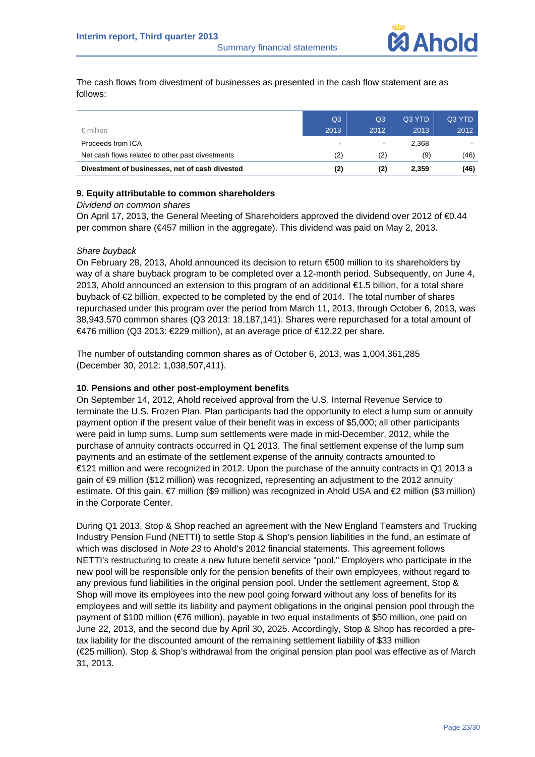The cash flows from divestment of businesses as presented in the cash flow statement are as follows:

|                                                  | Q3   | Q3   | Q3 YTD | Q3 YTD |
|--------------------------------------------------|------|------|--------|--------|
| $\epsilon$ million                               | 2013 | 2012 | 2013   | 2012   |
| Proceeds from ICA                                | -    |      | 2.368  |        |
| Net cash flows related to other past divestments | (2)  | (2)  | (9)    | (46)   |
| Divestment of businesses, net of cash divested   | (2)  | (2)  | 2,359  | (46)   |

#### **9. Equity attributable to common shareholders**

#### *Dividend on common shares*

On April 17, 2013, the General Meeting of Shareholders approved the dividend over 2012 of €0.44 per common share (€457 million in the aggregate). This dividend was paid on May 2, 2013.

#### *Share buyback*

On February 28, 2013, Ahold announced its decision to return €500 million to its shareholders by way of a share buyback program to be completed over a 12-month period. Subsequently, on June 4, 2013, Ahold announced an extension to this program of an additional €1.5 billion, for a total share buyback of €2 billion, expected to be completed by the end of 2014. The total number of shares repurchased under this program over the period from March 11, 2013, through October 6, 2013, was 38,943,570 common shares (Q3 2013: 18,187,141). Shares were repurchased for a total amount of €476 million (Q3 2013: €229 million), at an average price of €12.22 per share.

The number of outstanding common shares as of October 6, 2013, was 1,004,361,285 (December 30, 2012: 1,038,507,411).

#### **10. Pensions and other post-employment benefits**

On September 14, 2012, Ahold received approval from the U.S. Internal Revenue Service to terminate the U.S. Frozen Plan. Plan participants had the opportunity to elect a lump sum or annuity payment option if the present value of their benefit was in excess of \$5,000; all other participants were paid in lump sums. Lump sum settlements were made in mid-December, 2012, while the purchase of annuity contracts occurred in Q1 2013. The final settlement expense of the lump sum payments and an estimate of the settlement expense of the annuity contracts amounted to €121 million and were recognized in 2012. Upon the purchase of the annuity contracts in Q1 2013 a gain of €9 million (\$12 million) was recognized, representing an adjustment to the 2012 annuity estimate. Of this gain, *€*7 million (\$9 million) was recognized in Ahold USA and €2 million (\$3 million) in the Corporate Center.

During Q1 2013, Stop & Shop reached an agreement with the New England Teamsters and Trucking Industry Pension Fund (NETTI) to settle Stop & Shop's pension liabilities in the fund, an estimate of which was disclosed in *Note 23* to Ahold's 2012 financial statements. This agreement follows NETTI's restructuring to create a new future benefit service "pool." Employers who participate in the new pool will be responsible only for the pension benefits of their own employees, without regard to any previous fund liabilities in the original pension pool. Under the settlement agreement, Stop & Shop will move its employees into the new pool going forward without any loss of benefits for its employees and will settle its liability and payment obligations in the original pension pool through the payment of \$100 million (€76 million), payable in two equal installments of \$50 million, one paid on June 22, 2013, and the second due by April 30, 2025. Accordingly, Stop & Shop has recorded a pretax liability for the discounted amount of the remaining settlement liability of \$33 million (€25 million). Stop & Shop's withdrawal from the original pension plan pool was effective as of March 31, 2013.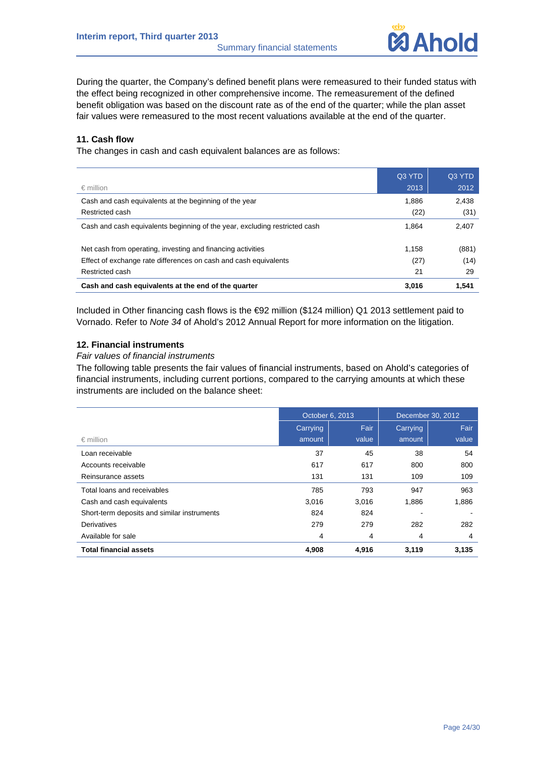

During the quarter, the Company's defined benefit plans were remeasured to their funded status with the effect being recognized in other comprehensive income. The remeasurement of the defined benefit obligation was based on the discount rate as of the end of the quarter; while the plan asset fair values were remeasured to the most recent valuations available at the end of the quarter.

#### **11. Cash flow**

The changes in cash and cash equivalent balances are as follows:

|                                                                            | Q3 YTD | Q3 YTD |
|----------------------------------------------------------------------------|--------|--------|
| $\epsilon$ million                                                         | 2013   | 2012   |
| Cash and cash equivalents at the beginning of the year                     | 1.886  | 2,438  |
| Restricted cash                                                            | (22)   | (31)   |
| Cash and cash equivalents beginning of the year, excluding restricted cash | 1.864  | 2.407  |
| Net cash from operating, investing and financing activities                | 1,158  | (881)  |
| Effect of exchange rate differences on cash and cash equivalents           | (27)   | (14)   |
| Restricted cash                                                            | 21     | 29     |
| Cash and cash equivalents at the end of the quarter                        | 3.016  | 1.541  |

Included in Other financing cash flows is the €92 million (\$124 million) Q1 2013 settlement paid to Vornado. Refer to *Note 34* of Ahold's 2012 Annual Report for more information on the litigation.

#### **12. Financial instruments**

*Fair values of financial instruments* 

The following table presents the fair values of financial instruments, based on Ahold's categories of financial instruments, including current portions, compared to the carrying amounts at which these instruments are included on the balance sheet:

|                                             | October 6, 2013 |       | December 30, 2012 |       |
|---------------------------------------------|-----------------|-------|-------------------|-------|
|                                             | Carrying        | Fair  | Carrying          | Fair  |
| $\epsilon$ million                          | amount          | value | amount            | value |
| Loan receivable                             | 37              | 45    | 38                | 54    |
| Accounts receivable                         | 617             | 617   | 800               | 800   |
| Reinsurance assets                          | 131             | 131   | 109               | 109   |
| Total loans and receivables                 | 785             | 793   | 947               | 963   |
| Cash and cash equivalents                   | 3,016           | 3.016 | 1,886             | 1,886 |
| Short-term deposits and similar instruments | 824             | 824   |                   |       |
| <b>Derivatives</b>                          | 279             | 279   | 282               | 282   |
| Available for sale                          | 4               | 4     | 4                 | 4     |
| <b>Total financial assets</b>               | 4,908           | 4,916 | 3,119             | 3,135 |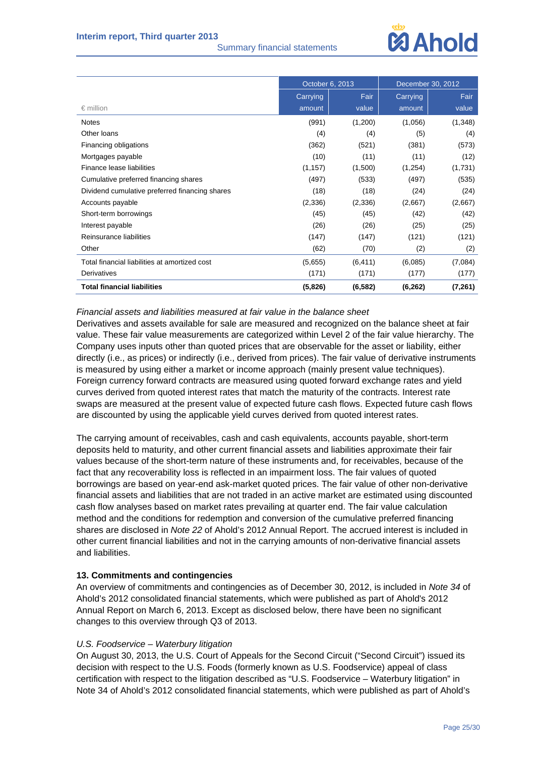#### Summary financial statements



|                                                | October 6, 2013 |          | December 30, 2012 |          |
|------------------------------------------------|-----------------|----------|-------------------|----------|
|                                                | Carrying        | Fair     | Carrying          | Fair     |
| $\epsilon$ million                             | amount          | value    | amount            | value    |
| <b>Notes</b>                                   | (991)           | (1,200)  | (1,056)           | (1,348)  |
| Other Ioans                                    | (4)             | (4)      | (5)               | (4)      |
| Financing obligations                          | (362)           | (521)    | (381)             | (573)    |
| Mortgages payable                              | (10)            | (11)     | (11)              | (12)     |
| Finance lease liabilities                      | (1, 157)        | (1,500)  | (1,254)           | (1,731)  |
| Cumulative preferred financing shares          | (497)           | (533)    | (497)             | (535)    |
| Dividend cumulative preferred financing shares | (18)            | (18)     | (24)              | (24)     |
| Accounts payable                               | (2,336)         | (2,336)  | (2,667)           | (2,667)  |
| Short-term borrowings                          | (45)            | (45)     | (42)              | (42)     |
| Interest payable                               | (26)            | (26)     | (25)              | (25)     |
| Reinsurance liabilities                        | (147)           | (147)    | (121)             | (121)    |
| Other                                          | (62)            | (70)     | (2)               | (2)      |
| Total financial liabilities at amortized cost  | (5,655)         | (6, 411) | (6,085)           | (7,084)  |
| Derivatives                                    | (171)           | (171)    | (177)             | (177)    |
| <b>Total financial liabilities</b>             | (5,826)         | (6, 582) | (6, 262)          | (7, 261) |

#### *Financial assets and liabilities measured at fair value in the balance sheet*

Derivatives and assets available for sale are measured and recognized on the balance sheet at fair value. These fair value measurements are categorized within Level 2 of the fair value hierarchy. The Company uses inputs other than quoted prices that are observable for the asset or liability, either directly (i.e., as prices) or indirectly (i.e., derived from prices). The fair value of derivative instruments is measured by using either a market or income approach (mainly present value techniques). Foreign currency forward contracts are measured using quoted forward exchange rates and yield curves derived from quoted interest rates that match the maturity of the contracts. Interest rate swaps are measured at the present value of expected future cash flows. Expected future cash flows are discounted by using the applicable yield curves derived from quoted interest rates.

The carrying amount of receivables, cash and cash equivalents, accounts payable, short-term deposits held to maturity, and other current financial assets and liabilities approximate their fair values because of the short-term nature of these instruments and, for receivables, because of the fact that any recoverability loss is reflected in an impairment loss. The fair values of quoted borrowings are based on year-end ask-market quoted prices. The fair value of other non-derivative financial assets and liabilities that are not traded in an active market are estimated using discounted cash flow analyses based on market rates prevailing at quarter end. The fair value calculation method and the conditions for redemption and conversion of the cumulative preferred financing shares are disclosed in *Note 22* of Ahold's 2012 Annual Report. The accrued interest is included in other current financial liabilities and not in the carrying amounts of non-derivative financial assets and liabilities.

#### **13. Commitments and contingencies**

An overview of commitments and contingencies as of December 30, 2012, is included in *Note 34* of Ahold's 2012 consolidated financial statements, which were published as part of Ahold's 2012 Annual Report on March 6, 2013. Except as disclosed below, there have been no significant changes to this overview through Q3 of 2013.

#### *U.S. Foodservice – Waterbury litigation*

On August 30, 2013, the U.S. Court of Appeals for the Second Circuit ("Second Circuit") issued its decision with respect to the U.S. Foods (formerly known as U.S. Foodservice) appeal of class certification with respect to the litigation described as "U.S. Foodservice – Waterbury litigation" in Note 34 of Ahold's 2012 consolidated financial statements, which were published as part of Ahold's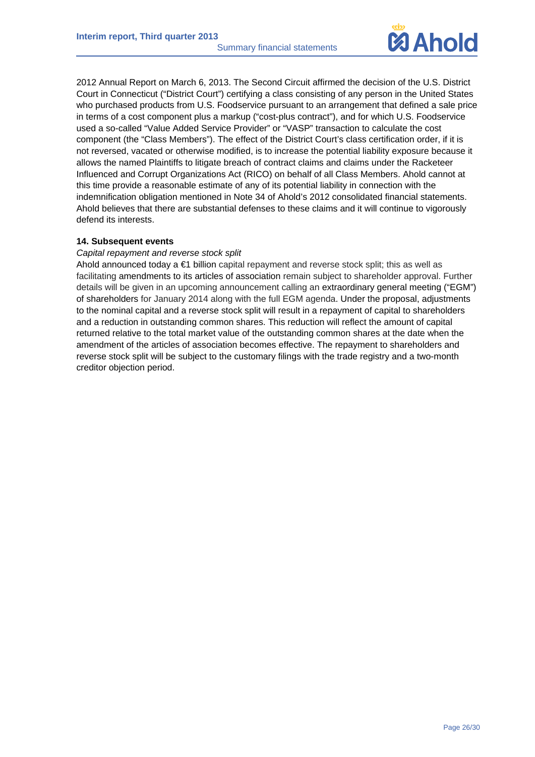

2012 Annual Report on March 6, 2013. The Second Circuit affirmed the decision of the U.S. District Court in Connecticut ("District Court") certifying a class consisting of any person in the United States who purchased products from U.S. Foodservice pursuant to an arrangement that defined a sale price in terms of a cost component plus a markup ("cost-plus contract"), and for which U.S. Foodservice used a so-called "Value Added Service Provider" or "VASP" transaction to calculate the cost component (the "Class Members"). The effect of the District Court's class certification order, if it is not reversed, vacated or otherwise modified, is to increase the potential liability exposure because it allows the named Plaintiffs to litigate breach of contract claims and claims under the Racketeer Influenced and Corrupt Organizations Act (RICO) on behalf of all Class Members. Ahold cannot at this time provide a reasonable estimate of any of its potential liability in connection with the indemnification obligation mentioned in Note 34 of Ahold's 2012 consolidated financial statements. Ahold believes that there are substantial defenses to these claims and it will continue to vigorously defend its interests.

#### **14. Subsequent events**

#### *Capital repayment and reverse stock split*

Ahold announced today a €1 billion capital repayment and reverse stock split; this as well as facilitating amendments to its articles of association remain subject to shareholder approval. Further details will be given in an upcoming announcement calling an extraordinary general meeting ("EGM") of shareholders for January 2014 along with the full EGM agenda. Under the proposal, adjustments to the nominal capital and a reverse stock split will result in a repayment of capital to shareholders and a reduction in outstanding common shares. This reduction will reflect the amount of capital returned relative to the total market value of the outstanding common shares at the date when the amendment of the articles of association becomes effective. The repayment to shareholders and reverse stock split will be subject to the customary filings with the trade registry and a two-month creditor objection period.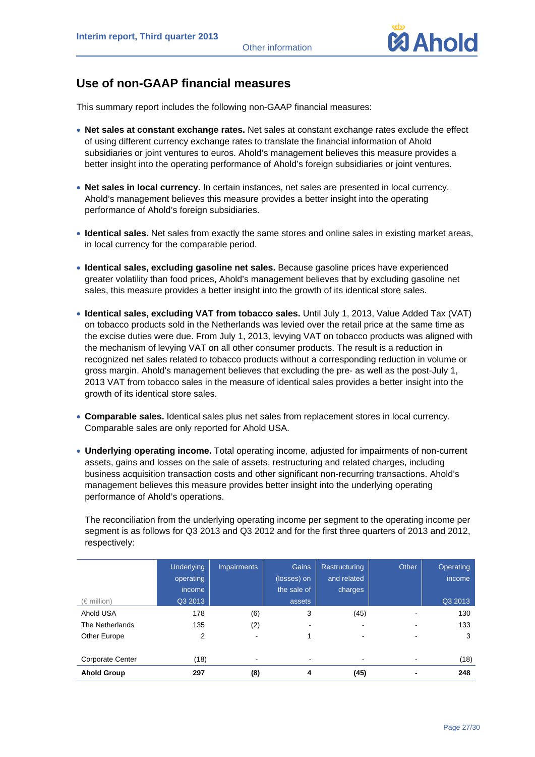

## **Use of non-GAAP financial measures**

This summary report includes the following non-GAAP financial measures:

- **Net sales at constant exchange rates.** Net sales at constant exchange rates exclude the effect of using different currency exchange rates to translate the financial information of Ahold subsidiaries or joint ventures to euros. Ahold's management believes this measure provides a better insight into the operating performance of Ahold's foreign subsidiaries or joint ventures.
- **Net sales in local currency.** In certain instances, net sales are presented in local currency. Ahold's management believes this measure provides a better insight into the operating performance of Ahold's foreign subsidiaries.
- **Identical sales.** Net sales from exactly the same stores and online sales in existing market areas, in local currency for the comparable period.
- **Identical sales, excluding gasoline net sales.** Because gasoline prices have experienced greater volatility than food prices, Ahold's management believes that by excluding gasoline net sales, this measure provides a better insight into the growth of its identical store sales.
- **Identical sales, excluding VAT from tobacco sales.** Until July 1, 2013, Value Added Tax (VAT) on tobacco products sold in the Netherlands was levied over the retail price at the same time as the excise duties were due. From July 1, 2013, levying VAT on tobacco products was aligned with the mechanism of levying VAT on all other consumer products. The result is a reduction in recognized net sales related to tobacco products without a corresponding reduction in volume or gross margin. Ahold's management believes that excluding the pre- as well as the post-July 1, 2013 VAT from tobacco sales in the measure of identical sales provides a better insight into the growth of its identical store sales.
- **Comparable sales.** Identical sales plus net sales from replacement stores in local currency. Comparable sales are only reported for Ahold USA.
- **Underlying operating income.** Total operating income, adjusted for impairments of non-current assets, gains and losses on the sale of assets, restructuring and related charges, including business acquisition transaction costs and other significant non-recurring transactions. Ahold's management believes this measure provides better insight into the underlying operating performance of Ahold's operations.

The reconciliation from the underlying operating income per segment to the operating income per segment is as follows for Q3 2013 and Q3 2012 and for the first three quarters of 2013 and 2012, respectively:

|                    | <b>Underlying</b> | <b>Impairments</b> | <b>Gains</b> | Restructuring | Other | Operating |
|--------------------|-------------------|--------------------|--------------|---------------|-------|-----------|
|                    | operating         |                    | (losses) on  | and related   |       | income    |
|                    | income            |                    | the sale of  | charges       |       |           |
| $(\in$ million)    | Q3 2013           |                    | assets       |               |       | Q3 2013   |
| Ahold USA          | 178               | (6)                | 3            | (45)          |       | 130       |
| The Netherlands    | 135               | (2)                |              |               |       | 133       |
| Other Europe       | 2                 |                    |              |               |       | 3         |
|                    |                   |                    |              |               |       |           |
| Corporate Center   | (18)              |                    | ۰            |               |       | (18)      |
| <b>Ahold Group</b> | 297               | (8)                | 4            | (45)          |       | 248       |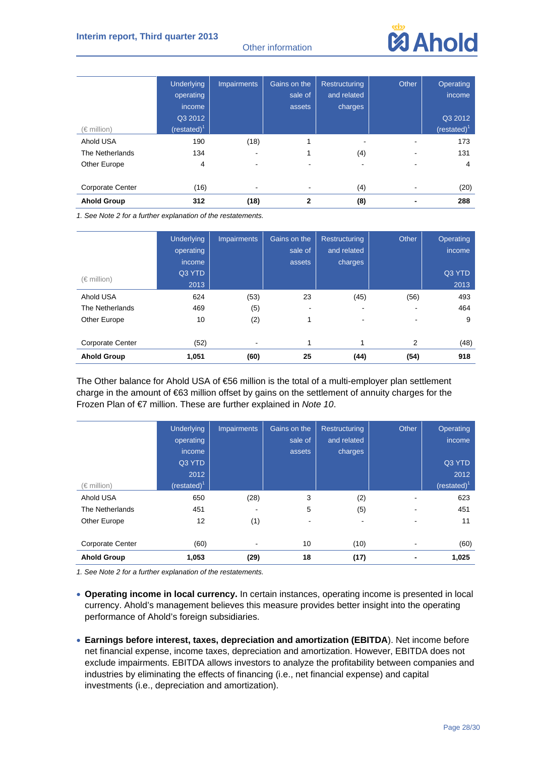#### Other information



|                         | <b>Underlying</b> | <b>Impairments</b> | Gains on the | <b>Restructuring</b> | Other | Operating    |
|-------------------------|-------------------|--------------------|--------------|----------------------|-------|--------------|
|                         | operating         |                    | sale of      | and related          |       | income       |
|                         | income            |                    | assets       | charges              |       |              |
|                         | Q3 2012           |                    |              |                      |       | Q3 2012      |
| (€ million)             | $(rested)^1$      |                    |              |                      |       | $(rested)^T$ |
| Ahold USA               | 190               | (18)               | 1            |                      |       | 173          |
| The Netherlands         | 134               | -                  |              | (4)                  |       | 131          |
| Other Europe            | 4                 |                    |              | ۰.                   |       | 4            |
|                         |                   |                    |              |                      |       |              |
| <b>Corporate Center</b> | (16)              |                    |              | (4)                  |       | (20)         |
| <b>Ahold Group</b>      | 312               | (18)               | $\mathbf{2}$ | (8)                  |       | 288          |

*1. See Note 2 for a further explanation of the restatements.* 

|                         | <b>Underlying</b> | <b>Impairments</b> | Gains on the | <b>Restructuring</b>     | Other | Operating |
|-------------------------|-------------------|--------------------|--------------|--------------------------|-------|-----------|
|                         | operating         |                    | sale of      | and related              |       | income    |
|                         | income            |                    | assets       | charges                  |       |           |
| $(\in$ million)         | Q3 YTD            |                    |              |                          |       | Q3 YTD    |
|                         | 2013              |                    |              |                          |       | 2013      |
| Ahold USA               | 624               | (53)               | 23           | (45)                     | (56)  | 493       |
| The Netherlands         | 469               | (5)                |              | $\overline{\phantom{0}}$ |       | 464       |
| Other Europe            | 10                | (2)                |              | $\overline{\phantom{0}}$ |       | 9         |
|                         |                   |                    |              |                          |       |           |
| <b>Corporate Center</b> | (52)              |                    | 1            | 1                        | 2     | (48)      |
| <b>Ahold Group</b>      | 1,051             | (60)               | 25           | (44)                     | (54)  | 918       |

The Other balance for Ahold USA of €56 million is the total of a multi-employer plan settlement charge in the amount of €63 million offset by gains on the settlement of annuity charges for the Frozen Plan of €7 million. These are further explained in *Note 10*.

|                         | <b>Underlying</b> | <b>Impairments</b> | Gains on the | Restructuring | Other          | Operating      |
|-------------------------|-------------------|--------------------|--------------|---------------|----------------|----------------|
|                         | operating         |                    | sale of      | and related   |                | income         |
|                         | income            |                    | assets       | charges       |                |                |
|                         | Q3 YTD            |                    |              |               |                | Q3 YTD         |
|                         | 2012              |                    |              |               |                | 2012           |
| (€ million)             | (restated) $1$    |                    |              |               |                | (restated) $1$ |
| Ahold USA               | 650               | (28)               | 3            | (2)           |                | 623            |
| The Netherlands         | 451               |                    | 5            | (5)           |                | 451            |
| Other Europe            | 12                | (1)                |              |               |                | 11             |
| <b>Corporate Center</b> | (60)              |                    | 10           | (10)          |                | (60)           |
| <b>Ahold Group</b>      | 1,053             | (29)               | 18           | (17)          | $\blacksquare$ | 1,025          |

- **Operating income in local currency.** In certain instances, operating income is presented in local currency. Ahold's management believes this measure provides better insight into the operating performance of Ahold's foreign subsidiaries.
- **Earnings before interest, taxes, depreciation and amortization (EBITDA**). Net income before net financial expense, income taxes, depreciation and amortization. However, EBITDA does not exclude impairments. EBITDA allows investors to analyze the profitability between companies and industries by eliminating the effects of financing (i.e., net financial expense) and capital investments (i.e., depreciation and amortization).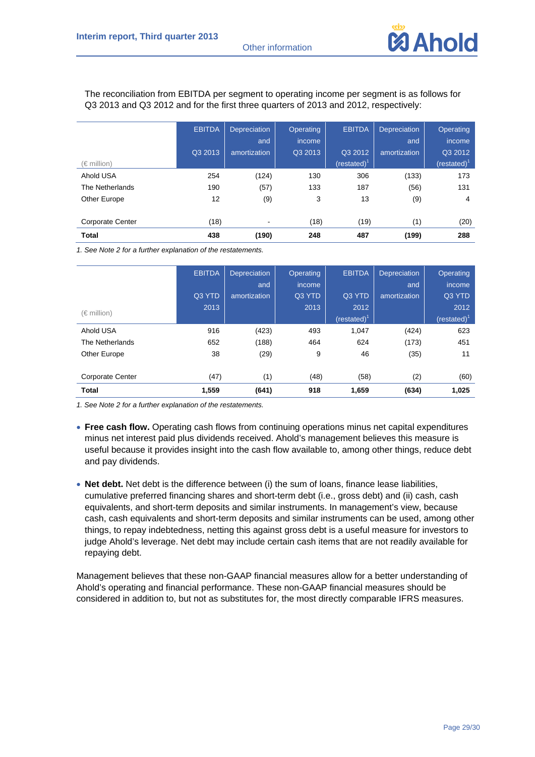

The reconciliation from EBITDA per segment to operating income per segment is as follows for Q3 2013 and Q3 2012 and for the first three quarters of 2013 and 2012, respectively:

|                         | <b>EBITDA</b> | <b>Depreciation</b><br>and | <b>Operating</b><br>income | <b>EBITDA</b>  | <b>Depreciation</b><br>and | <b>Operating</b><br>income |
|-------------------------|---------------|----------------------------|----------------------------|----------------|----------------------------|----------------------------|
|                         | Q3 2013       | amortization               | Q3 2013                    | Q3 2012        | amortization               | Q3 2012                    |
| $(\in$ million)         |               |                            |                            | (restated) $1$ |                            | (restated) <sup>1</sup>    |
| Ahold USA               | 254           | (124)                      | 130                        | 306            | (133)                      | 173                        |
| The Netherlands         | 190           | (57)                       | 133                        | 187            | (56)                       | 131                        |
| Other Europe            | 12            | (9)                        | 3                          | 13             | (9)                        | 4                          |
| <b>Corporate Center</b> | (18)          | $\overline{\phantom{a}}$   | (18)                       | (19)           | (1)                        | (20)                       |
| <b>Total</b>            | 438           | (190)                      | 248                        | 487            | (199)                      | 288                        |

*1. See Note 2 for a further explanation of the restatements.* 

|                         | <b>EBITDA</b> | <b>Depreciation</b> | Operating | <b>EBITDA</b>   | <b>Depreciation</b> | Operating       |
|-------------------------|---------------|---------------------|-----------|-----------------|---------------------|-----------------|
|                         |               | and                 | income    |                 | and                 | income          |
|                         | Q3 YTD        | amortization        | Q3 YTD    | Q3 YTD          | amortization        | Q3 YTD          |
| $(\in$ million)         | 2013          |                     | 2013      | 2012            |                     | 2012            |
|                         |               |                     |           | (restated) $^1$ |                     | (restated) $^1$ |
| Ahold USA               | 916           | (423)               | 493       | 1,047           | (424)               | 623             |
| The Netherlands         | 652           | (188)               | 464       | 624             | (173)               | 451             |
| Other Europe            | 38            | (29)                | 9         | 46              | (35)                | 11              |
| <b>Corporate Center</b> | (47)          | (1)                 | (48)      | (58)            | (2)                 | (60)            |
| <b>Total</b>            | 1,559         | (641)               | 918       | 1,659           | (634)               | 1,025           |

*1. See Note 2 for a further explanation of the restatements.* 

- **Free cash flow.** Operating cash flows from continuing operations minus net capital expenditures minus net interest paid plus dividends received. Ahold's management believes this measure is useful because it provides insight into the cash flow available to, among other things, reduce debt and pay dividends.
- **Net debt.** Net debt is the difference between (i) the sum of loans, finance lease liabilities, cumulative preferred financing shares and short-term debt (i.e., gross debt) and (ii) cash, cash equivalents, and short-term deposits and similar instruments. In management's view, because cash, cash equivalents and short-term deposits and similar instruments can be used, among other things, to repay indebtedness, netting this against gross debt is a useful measure for investors to judge Ahold's leverage. Net debt may include certain cash items that are not readily available for repaying debt.

Management believes that these non-GAAP financial measures allow for a better understanding of Ahold's operating and financial performance. These non-GAAP financial measures should be considered in addition to, but not as substitutes for, the most directly comparable IFRS measures.